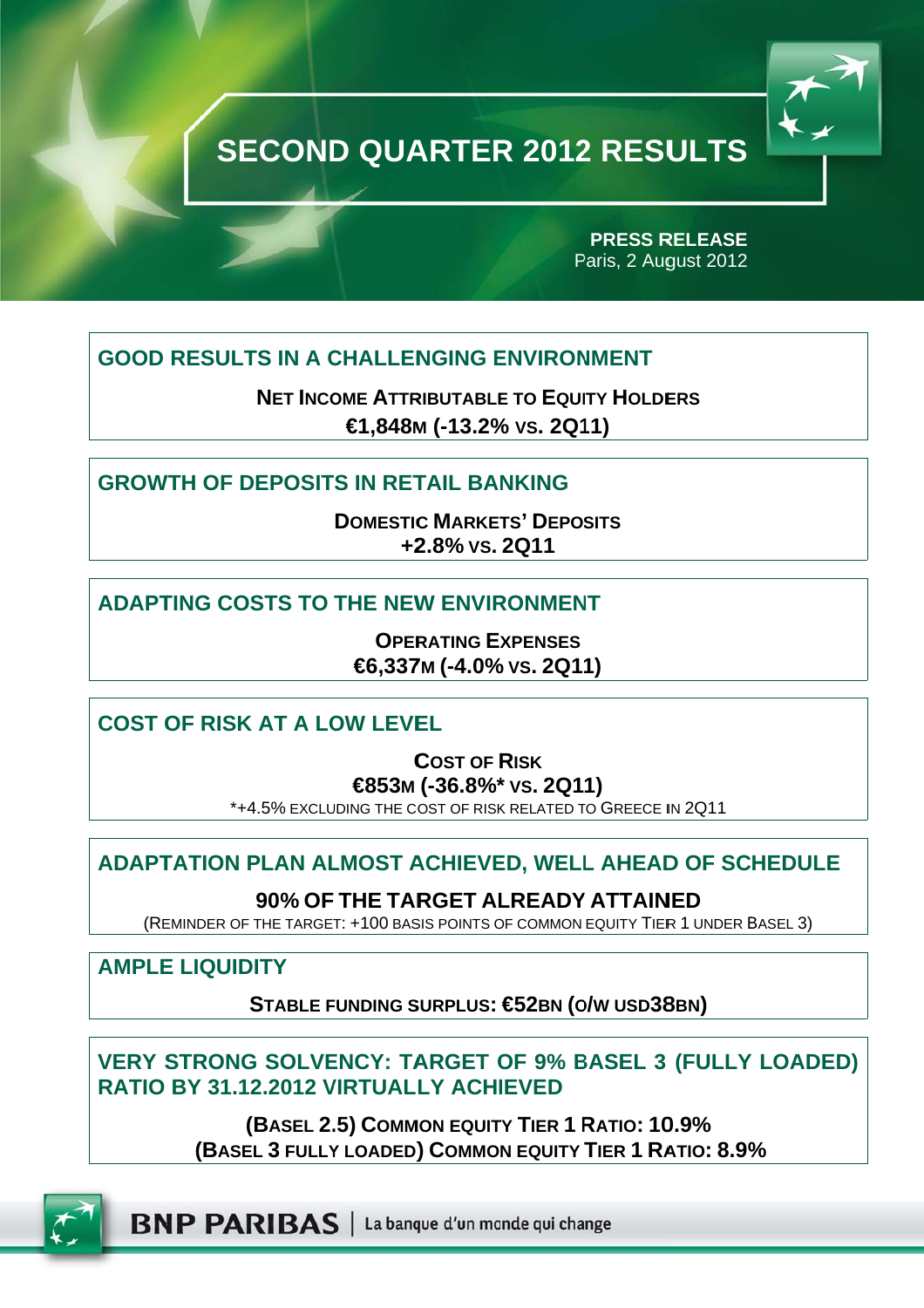

Paris, 2 August 2012 **PRESS R RELEASE** 

## **GOOD RESULTS IN A CHALLENGING ENVIRONMENT**

**NET INCOME ATTRIBUTABLE TO EQUITY HOLDERS €1,848M M (-13.2% % VS. 2Q1 11)**

## **GROWTH OF DEPOSITS IN RETAIL BANKING**

**DOMESTIC C MARKET TS' DEPO SITS +2 2.8% VS. 2Q11** 

## **ADAPTING COSTS TO THE NEW ENVIRONMENT**

**OPER RATING EX XPENSES €6,337 7M (-4.0% % VS. 2Q1 1)** 

**COST OF RISK AT A LOW LEVEL** 

**C COST OF R RISK €853M (-36.8%\* \* VS. 2Q1 1)** 

\*+4.5% EXCLUDING THE COST OF RISK RELATED TO GREECE IN 2Q11

## **ADAPTATION PLAN ALMOST ACHIEVED, WELL AHEAD OF SCHEDULE**

**90% OF THE TAR RGET AL LREADY Y ATTAIN NED**

(REMINDER OF THE TARGET: +100 BASIS POINTS OF COMMON EQUITY TIER 1 UNDER BASEL 3)

**AMPLE E LIQUID DITY** 

**S STABLE F FUNDING S SURPLUS: €52BN (O O/W USD38 8BN)** 

**VERY STRONG SOLVENCY: TARGET OF 9% BASEL 3 (FULLY LOADE RATIO BY 31.1 2.2012 V VIRTUAL LY ACHI IEVED EDULE**<br>
BASEL 3)<br> **COADED)**<br>
So

**( (BASEL 2. .5) COMM MON EQUIT TY TIER 1 R RATIO: 10 0.9% (BASE EL 3 FULLY Y LOADED) ) COMMO N EQUITY TIER 1 RA ATIO: 8.9%**



**BNP PARIBAS** | La banque d'un monde qui change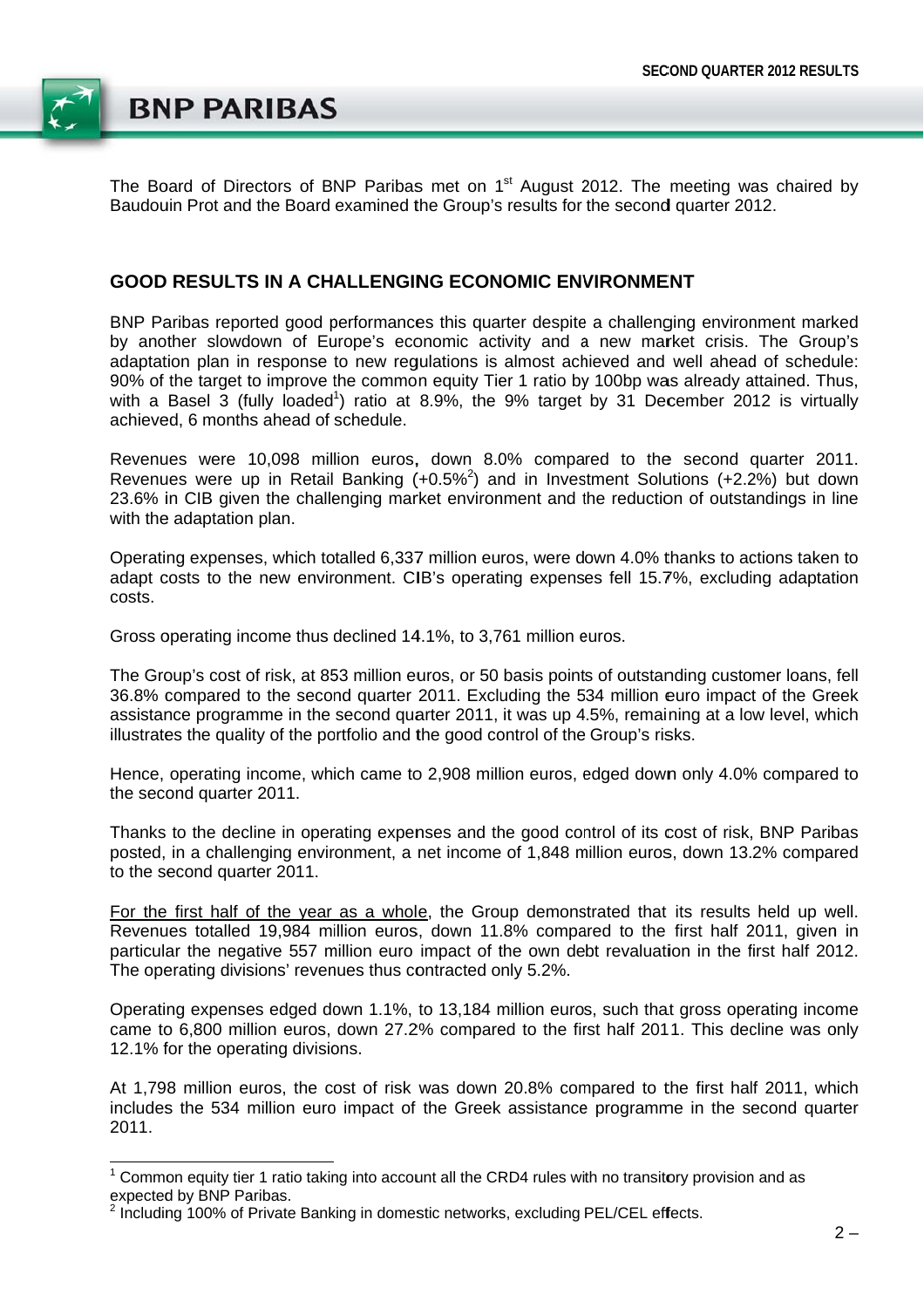

The Board of Directors of BNP Paribas met on 1<sup>st</sup> August 2012. The meeting was chaired by Baudouin Prot and the Board examined the Group's results for the second quarter 2012.

### **GOOD RESULTS IN A CHALLENGING ECONOMIC ENVIRONMENT**

BNP Paribas reported good performances this quarter despite a challenging environment marked by another slowdown of Europe's economic activity and a new market crisis. The Group's adaptation plan in response to new requiations is almost achieved and well ahead of schedule: 90% of the target to improve the common equity Tier 1 ratio by 100bp was already attained. Thus, with a Basel 3 (fully loaded<sup>1</sup>) ratio at 8.9%, the 9% target by 31 December 2012 is virtually achieved. 6 months ahead of schedule.

Revenues were 10,098 million euros, down 8.0% compared to the second quarter 2011. Revenues were up in Retail Banking (+0.5%<sup>2</sup>) and in Investment Solutions (+2.2%) but down 23.6% in CIB given the challenging market environment and the reduction of outstandings in line with the adaptation plan.

Operating expenses, which totalled 6,337 million euros, were down 4.0% thanks to actions taken to adapt costs to the new environment. CIB's operating expenses fell 15.7%, excluding adaptation costs.

Gross operating income thus declined 14.1%, to 3.761 million euros.

The Group's cost of risk, at 853 million euros, or 50 basis points of outstanding customer loans, fell 36.8% compared to the second quarter 2011. Excluding the 534 million euro impact of the Greek assistance programme in the second quarter 2011, it was up 4.5%, remaining at a low level, which illustrates the quality of the portfolio and the good control of the Group's risks.

Hence, operating income, which came to 2,908 million euros, edged down only 4.0% compared to the second quarter 2011.

Thanks to the decline in operating expenses and the good control of its cost of risk, BNP Paribas posted, in a challenging environment, a net income of 1,848 million euros, down 13.2% compared to the second quarter 2011.

For the first half of the year as a whole, the Group demonstrated that its results held up well. Revenues totalled 19,984 million euros, down 11.8% compared to the first half 2011, given in particular the negative 557 million euro impact of the own debt revaluation in the first half 2012. The operating divisions' revenues thus contracted only 5.2%.

Operating expenses edged down 1.1%, to 13,184 million euros, such that gross operating income came to 6.800 million euros, down 27.2% compared to the first half 2011. This decline was only 12.1% for the operating divisions.

At 1,798 million euros, the cost of risk was down 20.8% compared to the first half 2011, which includes the 534 million euro impact of the Greek assistance programme in the second quarter 2011.

 $1$  Common equity tier 1 ratio taking into account all the CRD4 rules with no transitory provision and as expected by BNP Paribas.

<sup>&</sup>lt;sup>2</sup> Including 100% of Private Banking in domestic networks, excluding PEL/CEL effects.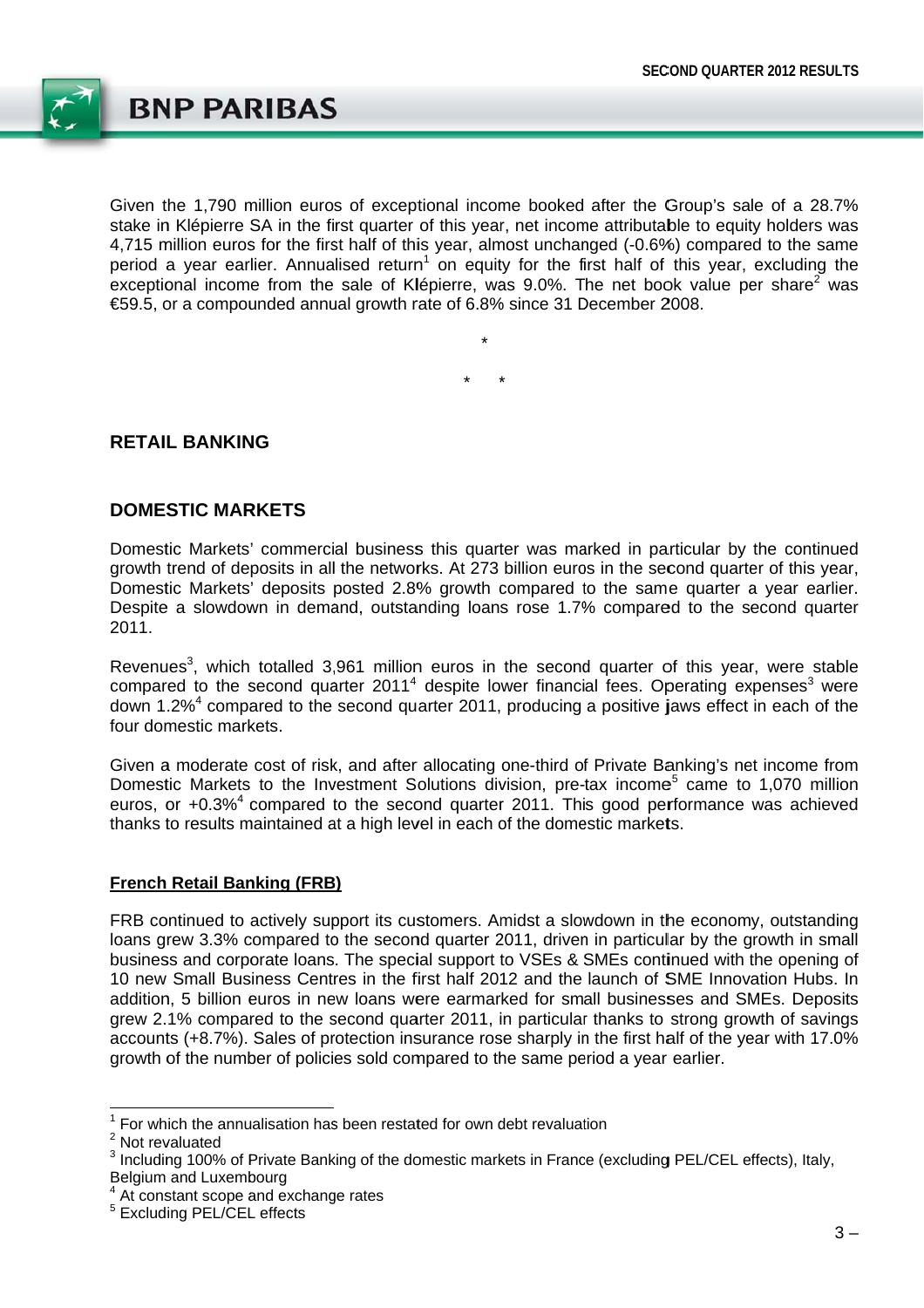

Given the 1,790 million euros of exceptional income booked after the Group's sale of a 28.7% stake in Klépierre SA in the first quarter of this year, net income attributable to equity holders was 4,715 million euros for the first half of this year, almost unchanged (-0.6%) compared to the same period a vear earlier. Annualised return<sup>1</sup> on equity for the first half of this vear, excluding the exceptional income from the sale of Klépierre, was 9.0%. The net book value per share<sup>2</sup> was €59.5, or a compounded annual growth rate of 6.8% since 31 December 2008.

### **RETAIL BANKING**

### **DOMESTIC MARKETS**

Domestic Markets' commercial business this quarter was marked in particular by the continued growth trend of deposits in all the networks. At 273 billion euros in the second quarter of this year, Domestic Markets' deposits posted 2.8% growth compared to the same quarter a year earlier. Despite a slowdown in demand, outstanding loans rose 1.7% compared to the second quarter 2011.

Revenues<sup>3</sup>, which totalled 3,961 million euros in the second quarter of this year, were stable compared to the second quarter 2011<sup>4</sup> despite lower financial fees. Operating expenses<sup>3</sup> were down 1.2%<sup>4</sup> compared to the second quarter 2011, producing a positive jaws effect in each of the four domestic markets.

Given a moderate cost of risk, and after allocating one-third of Private Banking's net income from Domestic Markets to the Investment Solutions division, pre-tax income<sup>5</sup> came to 1,070 million euros, or +0.3%<sup>4</sup> compared to the second quarter 2011. This good performance was achieved thanks to results maintained at a high level in each of the domestic markets.

#### **French Retail Banking (FRB)**

FRB continued to actively support its customers. Amidst a slowdown in the economy, outstanding loans grew 3.3% compared to the second quarter 2011, driven in particular by the growth in small business and corporate loans. The special support to VSEs & SMEs continued with the opening of 10 new Small Business Centres in the first half 2012 and the launch of SME Innovation Hubs. In addition. 5 billion euros in new loans were earmarked for small businesses and SMEs. Deposits grew 2.1% compared to the second quarter 2011, in particular thanks to strong growth of savings accounts (+8.7%). Sales of protection insurance rose sharply in the first half of the year with 17.0% growth of the number of policies sold compared to the same period a year earlier.

 $1$  For which the annualisation has been restated for own debt revaluation

 $2$  Not revaluated

<sup>&</sup>lt;sup>3</sup> Including 100% of Private Banking of the domestic markets in France (excluding PEL/CEL effects), Italy, Belgium and Luxembourg

At constant scope and exchange rates

<sup>&</sup>lt;sup>5</sup> Excluding PEL/CEL effects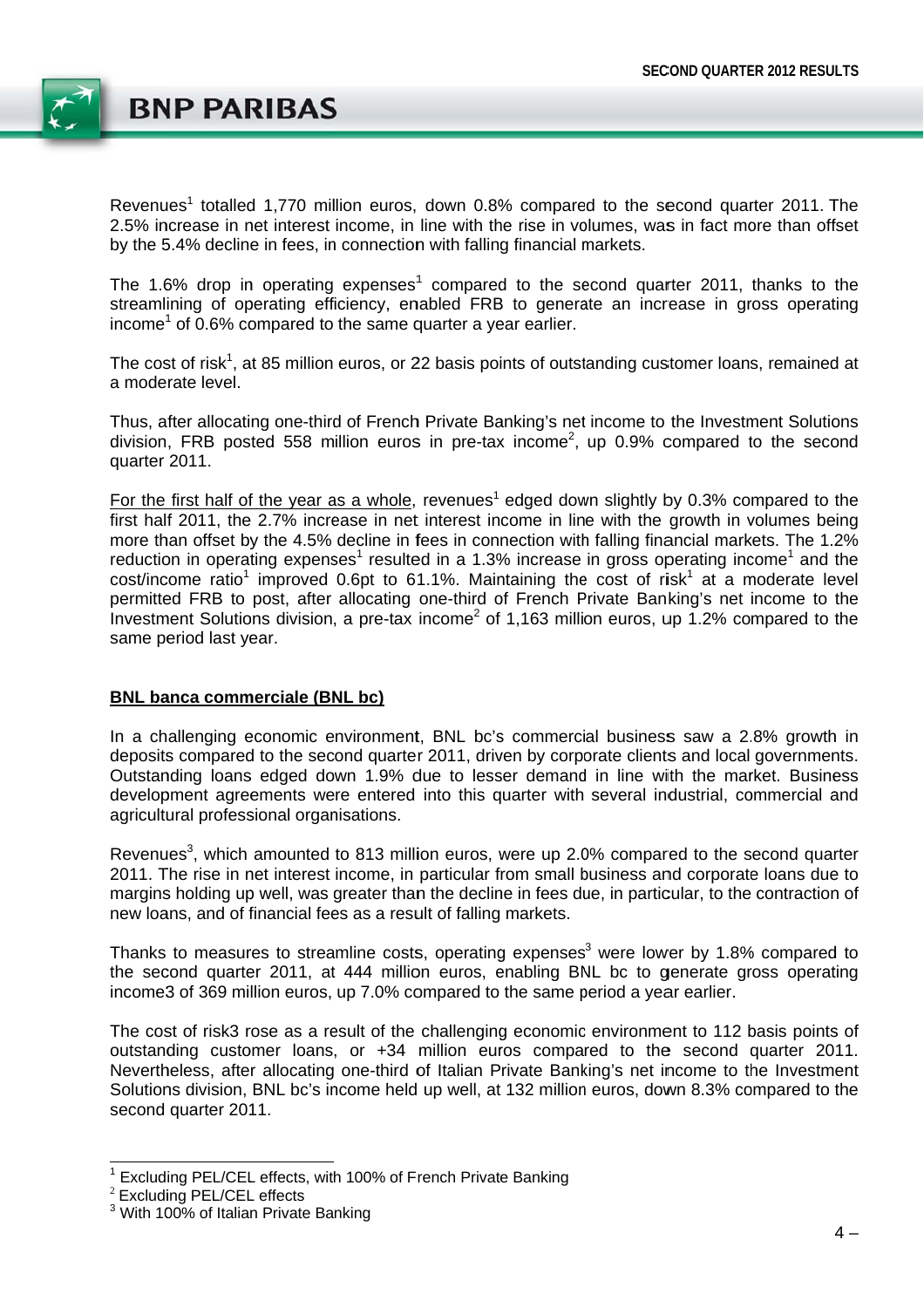

Revenues<sup>1</sup> totalled 1.770 million euros, down 0.8% compared to the second quarter 2011. The 2.5% increase in net interest income, in line with the rise in volumes, was in fact more than offset by the 5.4% decline in fees, in connection with falling financial markets.

The 1.6% drop in operating expenses<sup>1</sup> compared to the second quarter 2011, thanks to the streamlining of operating efficiency, enabled FRB to generate an increase in gross operating income<sup>1</sup> of 0.6% compared to the same quarter a year earlier.

The cost of risk<sup>1</sup>, at 85 million euros, or 22 basis points of outstanding customer loans, remained at a moderate level.

Thus, after allocating one-third of French Private Banking's net income to the Investment Solutions division. FRB posted 558 million euros in pre-tax income<sup>2</sup>, up 0.9% compared to the second quarter 2011.

For the first half of the year as a whole, revenues<sup>1</sup> edged down slightly by 0.3% compared to the first half 2011, the 2.7% increase in net interest income in line with the growth in volumes being more than offset by the 4.5% decline in fees in connection with falling financial markets. The 1.2% reduction in operating expenses<sup>1</sup> resulted in a 1.3% increase in gross operating income<sup>1</sup> and the cost/income ratio<sup>1</sup> improved 0.6pt to 61.1%. Maintaining the cost of risk<sup>1</sup> at a moderate level permitted FRB to post, after allocating one-third of French Private Banking's net income to the Investment Solutions division, a pre-tax income<sup>2</sup> of 1,163 million euros, up 1.2% compared to the same period last year.

#### **BNL banca commerciale (BNL bc)**

In a challenging economic environment. BNL bc's commercial business saw a 2.8% growth in deposits compared to the second quarter 2011, driven by corporate clients and local governments. Outstanding loans edged down 1.9% due to lesser demand in line with the market. Business development agreements were entered into this quarter with several industrial, commercial and agricultural professional organisations.

Revenues<sup>3</sup>, which amounted to 813 million euros, were up 2.0% compared to the second quarter 2011. The rise in net interest income, in particular from small business and corporate loans due to margins holding up well, was greater than the decline in fees due, in particular, to the contraction of new loans, and of financial fees as a result of falling markets.

Thanks to measures to streamline costs, operating expenses<sup>3</sup> were lower by 1.8% compared to the second quarter 2011, at 444 million euros, enabling BNL bc to generate gross operating income3 of 369 million euros, up 7.0% compared to the same period a year earlier.

The cost of risk3 rose as a result of the challenging economic environment to 112 basis points of outstanding customer loans, or +34 million euros compared to the second quarter 2011. Nevertheless, after allocating one-third of Italian Private Banking's net income to the Investment Solutions division, BNL bc's income held up well, at 132 million euros, down 8.3% compared to the second quarter 2011.

<sup>&</sup>lt;sup>1</sup> Excluding PEL/CEL effects, with 100% of French Private Banking

<sup>&</sup>lt;sup>2</sup> Excluding PEL/CEL effects

<sup>&</sup>lt;sup>3</sup> With 100% of Italian Private Banking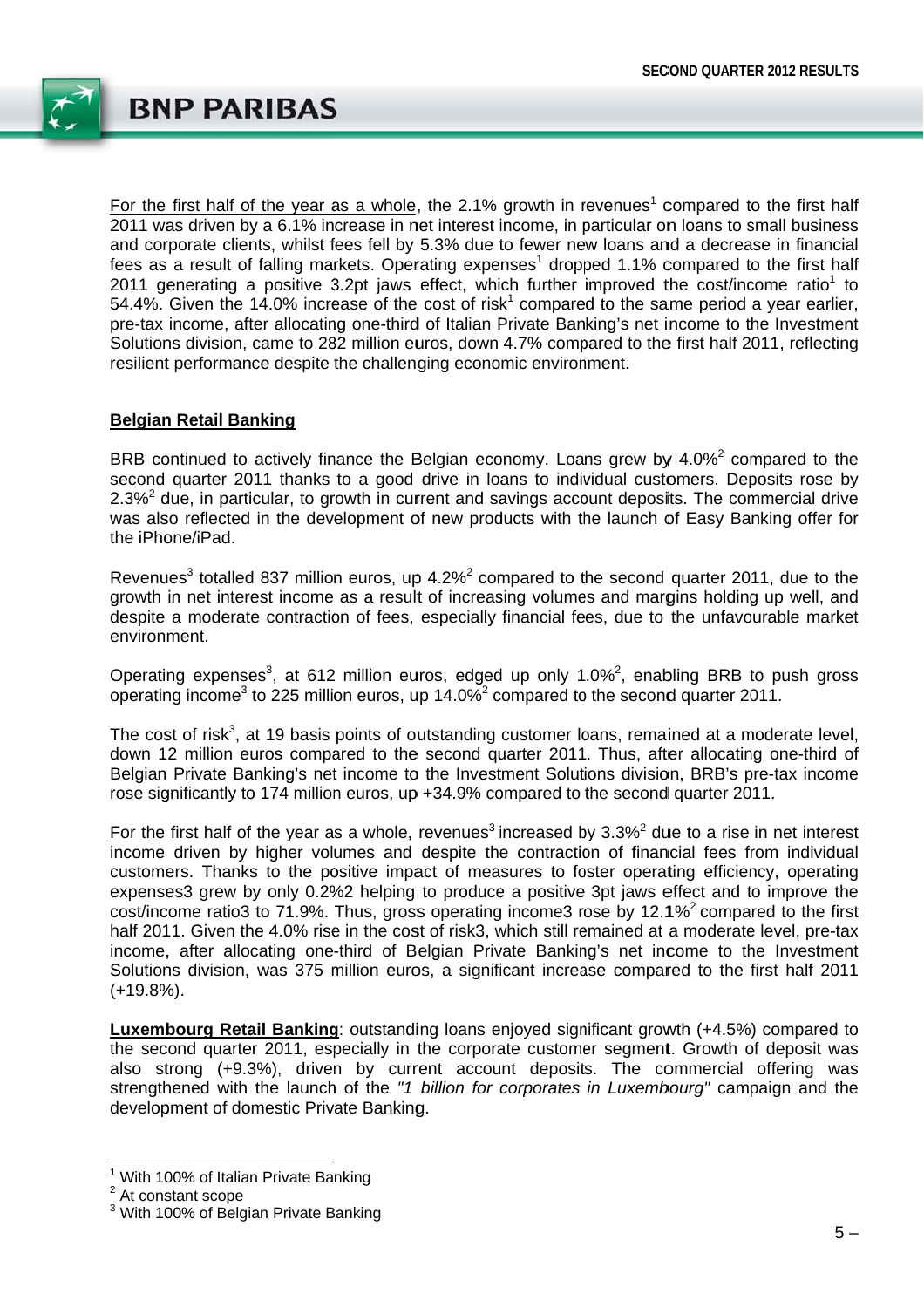

For the first half of the year as a whole, the 2.1% growth in revenues<sup>1</sup> compared to the first half 2011 was driven by a 6.1% increase in net interest income, in particular on loans to small business and corporate clients, whilst fees fell by 5.3% due to fewer new loans and a decrease in financial fees as a result of falling markets. Operating expenses<sup>1</sup> dropped 1.1% compared to the first half 2011 generating a positive 3.2pt jaws effect, which further improved the cost/income ratio<sup>1</sup> to 54.4%. Given the 14.0% increase of the cost of risk<sup>1</sup> compared to the same period a year earlier, pre-tax income, after allocating one-third of Italian Private Banking's net income to the Investment Solutions division, came to 282 million euros, down 4.7% compared to the first half 2011, reflecting resilient performance despite the challenging economic environment.

#### **Belgian Retail Banking**

BRB continued to actively finance the Belgian economy. Loans grew by 4.0%<sup>2</sup> compared to the second quarter 2011 thanks to a good drive in loans to individual customers. Deposits rose by 2.3%<sup>2</sup> due, in particular, to growth in current and savings account deposits. The commercial drive was also reflected in the development of new products with the launch of Easy Banking offer for the iPhone/iPad.

Revenues<sup>3</sup> totalled 837 million euros, up 4.2%<sup>2</sup> compared to the second quarter 2011, due to the growth in net interest income as a result of increasing volumes and margins holding up well, and despite a moderate contraction of fees, especially financial fees, due to the unfavourable market environment.

Operating expenses<sup>3</sup>, at 612 million euros, edged up only 1.0%<sup>2</sup>, enabling BRB to push gross operating income<sup>3</sup> to 225 million euros, up 14.0%<sup>2</sup> compared to the second quarter 2011.

The cost of risk<sup>3</sup>, at 19 basis points of outstanding customer loans, remained at a moderate level, down 12 million euros compared to the second quarter 2011. Thus, after allocating one-third of Belgian Private Banking's net income to the Investment Solutions division, BRB's pre-tax income rose significantly to 174 million euros, up +34.9% compared to the second quarter 2011.

For the first half of the year as a whole, revenues<sup>3</sup> increased by  $3.3\%$ <sup>2</sup> due to a rise in net interest income driven by higher volumes and despite the contraction of financial fees from individual customers. Thanks to the positive impact of measures to foster operating efficiency, operating expenses3 grew by only 0.2%2 helping to produce a positive 3pt jaws effect and to improve the cost/income ratio3 to 71.9%. Thus, gross operating income3 rose by 12.1%<sup>2</sup> compared to the first half 2011. Given the 4.0% rise in the cost of risk3, which still remained at a moderate level, pre-tax income, after allocating one-third of Belgian Private Banking's net income to the Investment Solutions division, was 375 million euros, a significant increase compared to the first half 2011  $(+19.8\%)$ .

Luxembourg Retail Banking: outstanding loans enjoyed significant growth (+4.5%) compared to the second quarter 2011, especially in the corporate customer segment. Growth of deposit was also strong (+9.3%), driven by current account deposits. The commercial offering was strenathened with the launch of the "1 billion for corporates in Luxembourg" campaign and the development of domestic Private Banking.

<sup>&</sup>lt;sup>1</sup> With 100% of Italian Private Banking

<sup>&</sup>lt;sup>2</sup> At constant scope

<sup>&</sup>lt;sup>3</sup> With 100% of Belgian Private Banking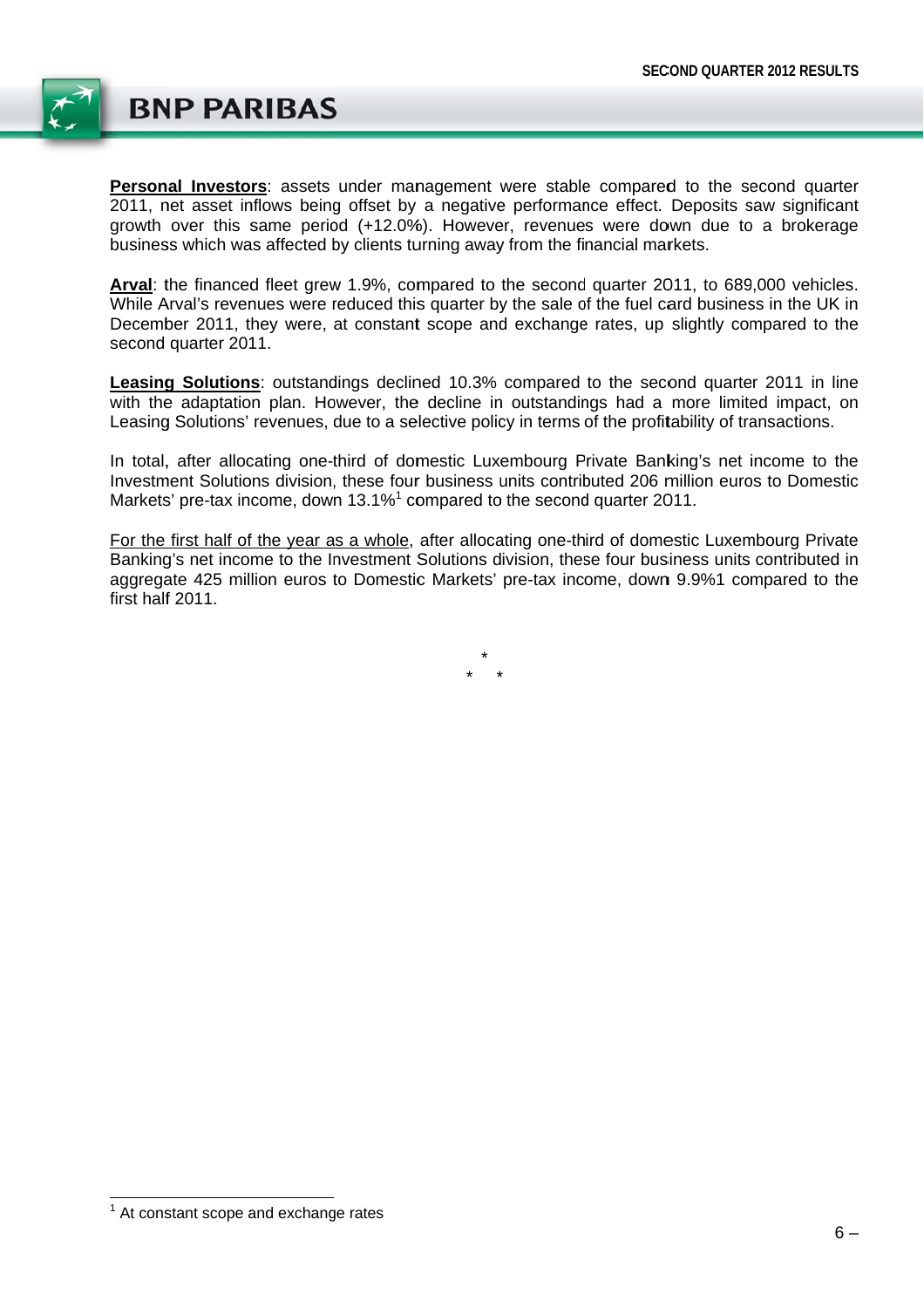

Personal Investors: assets under management were stable compared to the second quarter 2011, net asset inflows being offset by a negative performance effect. Deposits saw significant growth over this same period (+12.0%). However, revenues were down due to a brokerage business which was affected by clients turning away from the financial markets.

Arval: the financed fleet grew 1.9%, compared to the second quarter 2011, to 689,000 vehicles. While Arval's revenues were reduced this quarter by the sale of the fuel card business in the UK in December 2011, they were, at constant scope and exchange rates, up slightly compared to the second quarter 2011.

Leasing Solutions: outstandings declined 10.3% compared to the second quarter 2011 in line with the adaptation plan. However, the decline in outstandings had a more limited impact, on Leasing Solutions' revenues, due to a selective policy in terms of the profitability of transactions.

In total, after allocating one-third of domestic Luxembourg Private Banking's net income to the Investment Solutions division, these four business units contributed 206 million euros to Domestic Markets' pre-tax income, down 13.1%<sup>1</sup> compared to the second quarter 2011.

For the first half of the year as a whole, after allocating one-third of domestic Luxembourg Private Banking's net income to the Investment Solutions division, these four business units contributed in aggregate 425 million euros to Domestic Markets' pre-tax income, down 9.9%1 compared to the first half 2011.

 $1$  At constant scope and exchange rates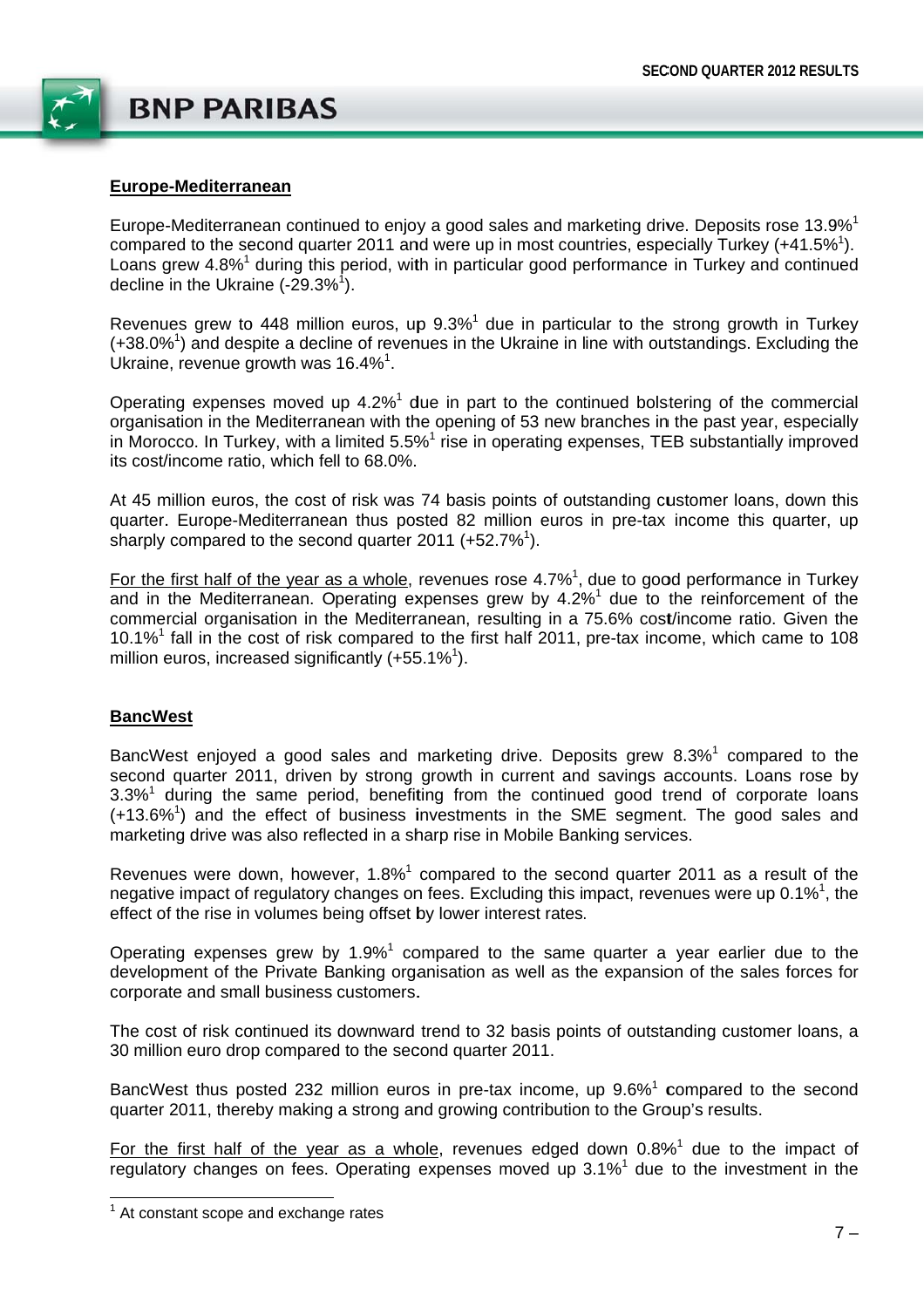

#### Europe-Mediterranean

Europe-Mediterranean continued to enjoy a good sales and marketing drive. Deposits rose 13.9%<sup>1</sup> compared to the second quarter 2011 and were up in most countries, especially Turkey  $(+41.5\%)$ . Loans grew 4.8%<sup>1</sup> during this period, with in particular good performance in Turkey and continued decline in the Ukraine  $(-29.3\%^1)$ .

Revenues grew to 448 million euros, up 9.3%<sup>1</sup> due in particular to the strong growth in Turkey  $(+38.0\%)$  and despite a decline of revenues in the Ukraine in line with outstandings. Excluding the Ukraine, revenue growth was  $16.4\%$ <sup>1</sup>.

Operating expenses moved up 4.2%<sup>1</sup> due in part to the continued bolstering of the commercial organisation in the Mediterranean with the opening of 53 new branches in the past vear, especially in Morocco. In Turkey, with a limited 5.5%<sup>1</sup> rise in operating expenses, TEB substantially improved its cost/income ratio, which fell to 68.0%.

At 45 million euros, the cost of risk was 74 basis points of outstanding customer loans, down this quarter. Europe-Mediterranean thus posted 82 million euros in pre-tax income this quarter, up sharply compared to the second quarter 2011  $(+52.7\%)$ .

For the first half of the vear as a whole, revenues rose  $4.7\%$ <sup>1</sup> due to good performance in Turkey and in the Mediterranean. Operating expenses grew by 4.2%<sup>1</sup> due to the reinforcement of the commercial organisation in the Mediterranean, resulting in a 75.6% cost/income ratio. Given the 10.1%<sup>1</sup> fall in the cost of risk compared to the first half 2011, pre-tax income, which came to 108 million euros, increased significantly  $(+55.1\%)$ .

#### **BancWest**

BancWest enjoyed a good sales and marketing drive. Deposits grew 8.3%<sup>1</sup> compared to the second quarter 2011, driven by strong growth in current and savings accounts. Loans rose by  $3.3\%$ <sup>1</sup> during the same period, benefiting from the continued good trend of corporate loans (+13.6%<sup>1</sup>) and the effect of business investments in the SME segment. The good sales and marketing drive was also reflected in a sharp rise in Mobile Banking services.

Revenues were down, however,  $1.8\%$ <sup>1</sup> compared to the second quarter 2011 as a result of the negative impact of regulatory changes on fees. Excluding this impact, revenues were up 0.1%<sup>1</sup>, the effect of the rise in volumes being offset by lower interest rates.

Operating expenses grew by  $1.9\%$ <sup>1</sup> compared to the same quarter a year earlier due to the development of the Private Banking organisation as well as the expansion of the sales forces for corporate and small business customers.

The cost of risk continued its downward trend to 32 basis points of outstanding customer loans, a 30 million euro drop compared to the second quarter 2011.

BancWest thus posted 232 million euros in pre-tax income, up 9.6%<sup>1</sup> compared to the second quarter 2011, thereby making a strong and growing contribution to the Group's results.

For the first half of the year as a whole, revenues edged down  $0.8\%$ <sup>1</sup> due to the impact of requilatory changes on fees. Operating expenses moved up 3.1%<sup>1</sup> due to the investment in the

 $1$  At constant scope and exchange rates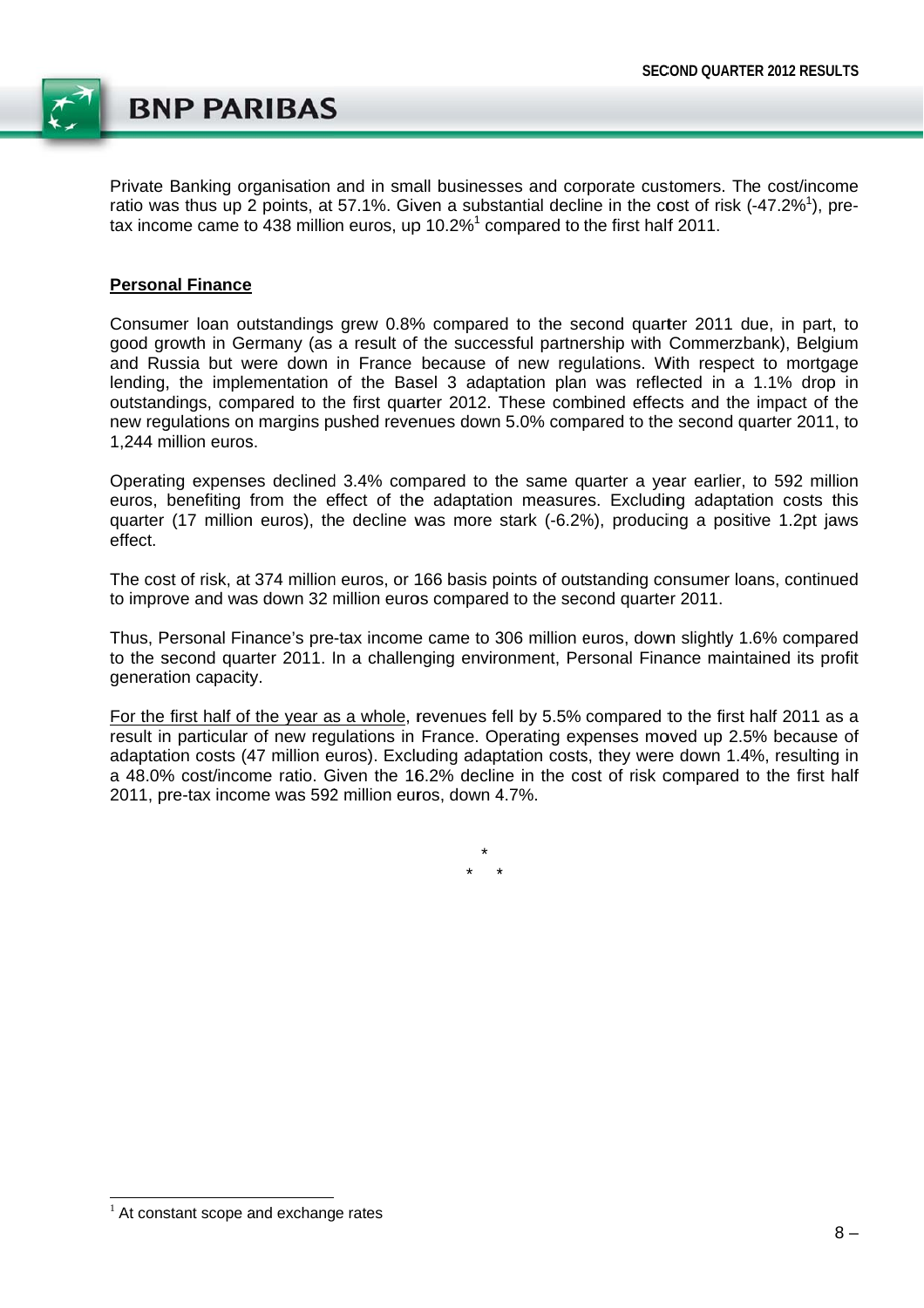

Private Banking organisation and in small businesses and corporate customers. The cost/income ratio was thus up 2 points, at 57.1%. Given a substantial decline in the cost of risk (-47.2%<sup>1</sup>), pretax income came to 438 million euros, up 10.2%<sup>1</sup> compared to the first half 2011.

#### **Personal Finance**

Consumer loan outstandings grew 0.8% compared to the second quarter 2011 due, in part, to good growth in Germany (as a result of the successful partnership with Commerzbank), Belgium and Russia but were down in France because of new regulations. With respect to mortgage lending, the implementation of the Basel 3 adaptation plan was reflected in a 1.1% drop in outstandings, compared to the first quarter 2012. These combined effects and the impact of the new regulations on margins pushed revenues down 5.0% compared to the second quarter 2011, to 1.244 million euros.

Operating expenses declined 3.4% compared to the same quarter a year earlier, to 592 million euros, benefiting from the effect of the adaptation measures. Excluding adaptation costs this quarter (17 million euros), the decline was more stark (-6.2%), producing a positive 1.2pt jaws effect.

The cost of risk, at 374 million euros, or 166 basis points of outstanding consumer loans, continued to improve and was down 32 million euros compared to the second quarter 2011.

Thus, Personal Finance's pre-tax income came to 306 million euros, down slightly 1.6% compared to the second quarter 2011. In a challenging environment, Personal Finance maintained its profit generation capacity.

For the first half of the year as a whole, revenues fell by 5.5% compared to the first half 2011 as a result in particular of new regulations in France. Operating expenses moved up 2.5% because of adaptation costs (47 million euros). Excluding adaptation costs, they were down 1.4%, resulting in a 48.0% cost/income ratio. Given the 16.2% decline in the cost of risk compared to the first half 2011, pre-tax income was 592 million euros, down 4.7%.

<sup>&</sup>lt;sup>1</sup> At constant scope and exchange rates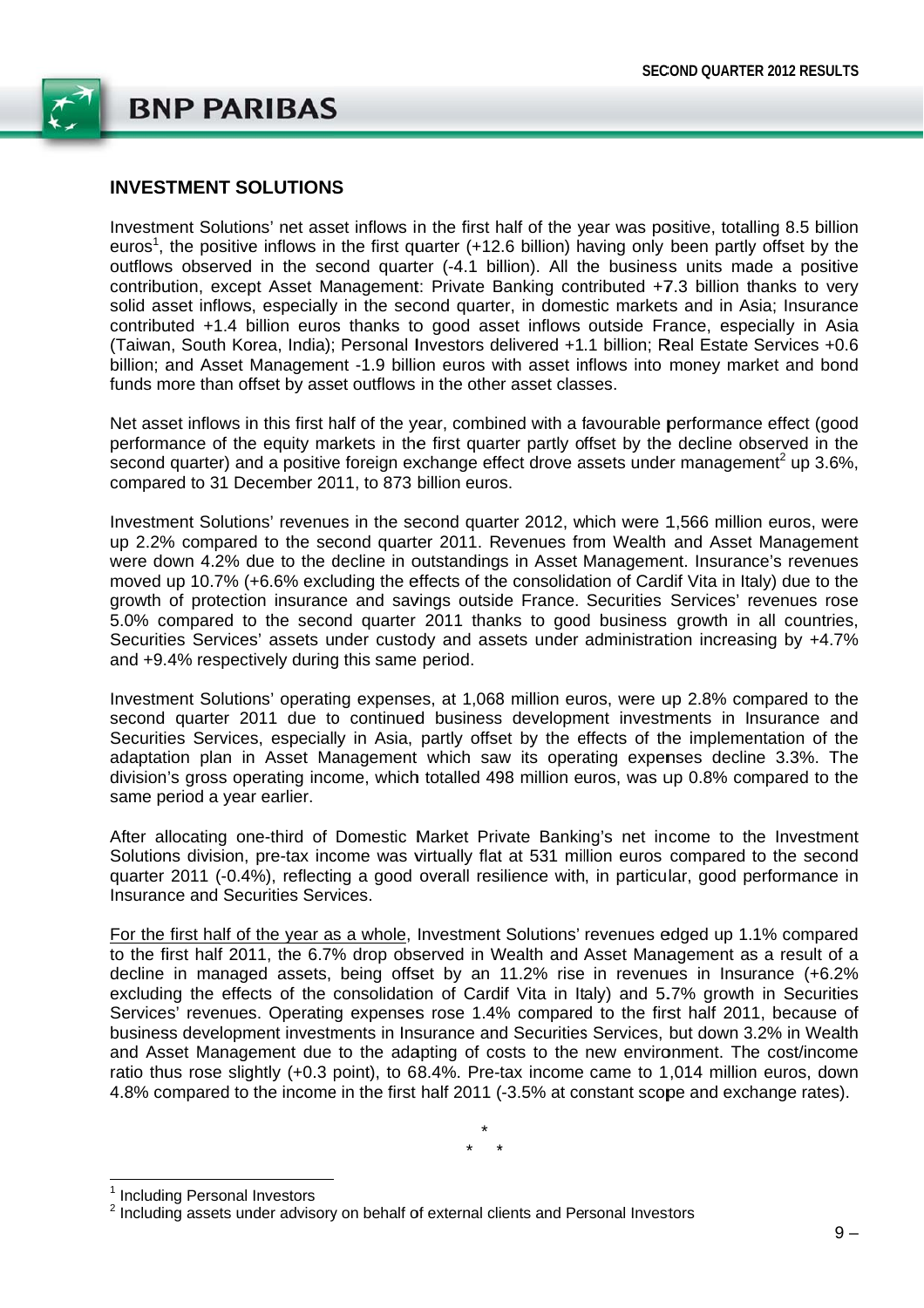

# **INVESTMENT SOLUTIONS**

Investment Solutions' net asset inflows in the first half of the year was positive, totalling 8.5 billion euros<sup>1</sup>, the positive inflows in the first quarter (+12.6 billion) having only been partly offset by the outflows observed in the second quarter (-4.1 billion). All the business units made a positive contribution, except Asset Management: Private Banking contributed +7.3 billion thanks to very solid asset inflows, especially in the second quarter, in domestic markets and in Asia; Insurance contributed +1.4 billion euros thanks to good asset inflows outside France, especially in Asia (Taiwan, South Korea, India); Personal Investors delivered +1.1 billion; Real Estate Services +0.6 billion; and Asset Management -1.9 billion euros with asset inflows into money market and bond funds more than offset by asset outflows in the other asset classes.

Net asset inflows in this first half of the year, combined with a favourable performance effect (good performance of the equity markets in the first quarter partly offset by the decline observed in the second quarter) and a positive foreign exchange effect drove assets under management<sup>2</sup> up 3.6%, compared to 31 December 2011, to 873 billion euros.

Investment Solutions' revenues in the second quarter 2012, which were 1,566 million euros, were up 2.2% compared to the second quarter 2011. Revenues from Wealth and Asset Management were down 4.2% due to the decline in outstandings in Asset Management. Insurance's revenues moved up 10.7% (+6.6% excluding the effects of the consolidation of Cardif Vita in Italy) due to the growth of protection insurance and savings outside France. Securities Services' revenues rose 5.0% compared to the second quarter 2011 thanks to good business growth in all countries, Securities Services' assets under custody and assets under administration increasing by +4.7% and +9.4% respectively during this same period.

Investment Solutions' operating expenses, at 1,068 million euros, were up 2.8% compared to the second quarter 2011 due to continued business development investments in Insurance and Securities Services, especially in Asia, partly offset by the effects of the implementation of the adaptation plan in Asset Management which saw its operating expenses decline 3.3%. The division's gross operating income, which totalled 498 million euros, was up 0.8% compared to the same period a year earlier.

After allocating one-third of Domestic Market Private Banking's net income to the Investment Solutions division, pre-tax income was virtually flat at 531 million euros compared to the second quarter 2011 (-0.4%), reflecting a good overall resilience with, in particular, good performance in Insurance and Securities Services

For the first half of the year as a whole, Investment Solutions' revenues edged up 1.1% compared to the first half 2011, the 6.7% drop observed in Wealth and Asset Management as a result of a decline in managed assets, being offset by an 11.2% rise in revenues in Insurance (+6.2% excluding the effects of the consolidation of Cardif Vita in Italy) and 5.7% growth in Securities Services' revenues. Operating expenses rose 1.4% compared to the first half 2011, because of business development investments in Insurance and Securities Services, but down 3.2% in Wealth and Asset Management due to the adapting of costs to the new environment. The cost/income ratio thus rose slightly (+0.3 point), to 68.4%. Pre-tax income came to 1,014 million euros, down 4.8% compared to the income in the first half 2011 (-3.5% at constant scope and exchange rates).

<sup>&</sup>lt;sup>1</sup> Including Personal Investors

<sup>&</sup>lt;sup>2</sup> Including assets under advisory on behalf of external clients and Personal Investors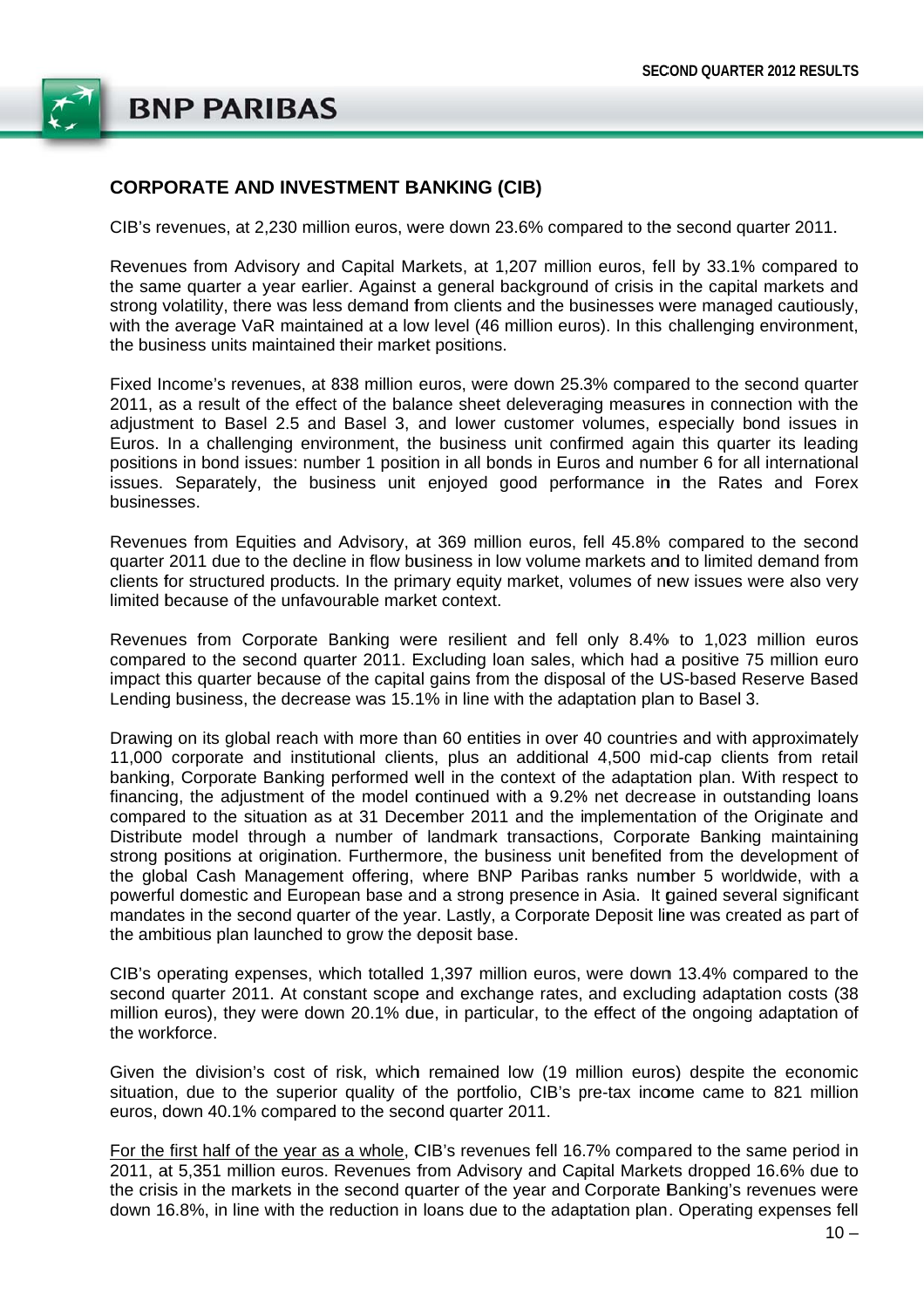

### **CORPORATE AND INVESTMENT BANKING (CIB)**

CIB's revenues, at 2.230 million euros, were down 23.6% compared to the second quarter 2011.

Revenues from Advisory and Capital Markets, at 1,207 million euros, fell by 33.1% compared to the same quarter a year earlier. Against a general background of crisis in the capital markets and strong volatility, there was less demand from clients and the businesses were managed cautiously, with the average VaR maintained at a low level (46 million euros). In this challenging environment, the business units maintained their market positions.

Fixed Income's revenues, at 838 million euros, were down 25.3% compared to the second quarter 2011, as a result of the effect of the balance sheet deleveraging measures in connection with the adjustment to Basel 2.5 and Basel 3, and lower customer volumes, especially bond issues in Euros. In a challenging environment, the business unit confirmed again this quarter its leading positions in bond issues: number 1 position in all bonds in Euros and number 6 for all international issues. Separately, the business unit enjoyed good performance in the Rates and Forex businesses.

Revenues from Equities and Advisory, at 369 million euros, fell 45.8% compared to the second quarter 2011 due to the decline in flow business in low volume markets and to limited demand from clients for structured products. In the primary equity market, volumes of new issues were also very limited because of the unfavourable market context.

Revenues from Corporate Banking were resilient and fell only 8.4% to 1,023 million euros compared to the second quarter 2011. Excluding loan sales, which had a positive 75 million euro impact this quarter because of the capital gains from the disposal of the US-based Reserve Based Lending business, the decrease was 15.1% in line with the adaptation plan to Basel 3.

Drawing on its global reach with more than 60 entities in over 40 countries and with approximately 11,000 corporate and institutional clients, plus an additional 4,500 mid-cap clients from retail banking, Corporate Banking performed well in the context of the adaptation plan. With respect to financing, the adjustment of the model continued with a 9.2% net decrease in outstanding loans compared to the situation as at 31 December 2011 and the implementation of the Originate and Distribute model through a number of landmark transactions. Corporate Banking maintaining strong positions at origination. Furthermore, the business unit benefited from the development of the global Cash Management offering, where BNP Paribas ranks number 5 worldwide, with a powerful domestic and European base and a strong presence in Asia. It gained several significant mandates in the second quarter of the year. Lastly, a Corporate Deposit line was created as part of the ambitious plan launched to grow the deposit base.

CIB's operating expenses, which totalled 1,397 million euros, were down 13.4% compared to the second quarter 2011. At constant scope and exchange rates, and excluding adaptation costs (38 million euros), they were down 20.1% due, in particular, to the effect of the ongoing adaptation of the workforce.

Given the division's cost of risk, which remained low (19 million euros) despite the economic situation, due to the superior quality of the portfolio, CIB's pre-tax income came to 821 million euros, down 40.1% compared to the second quarter 2011.

For the first half of the year as a whole, CIB's revenues fell 16.7% compared to the same period in 2011, at 5,351 million euros. Revenues from Advisory and Capital Markets dropped 16.6% due to the crisis in the markets in the second quarter of the year and Corporate Banking's revenues were down 16.8%, in line with the reduction in loans due to the adaptation plan. Operating expenses fell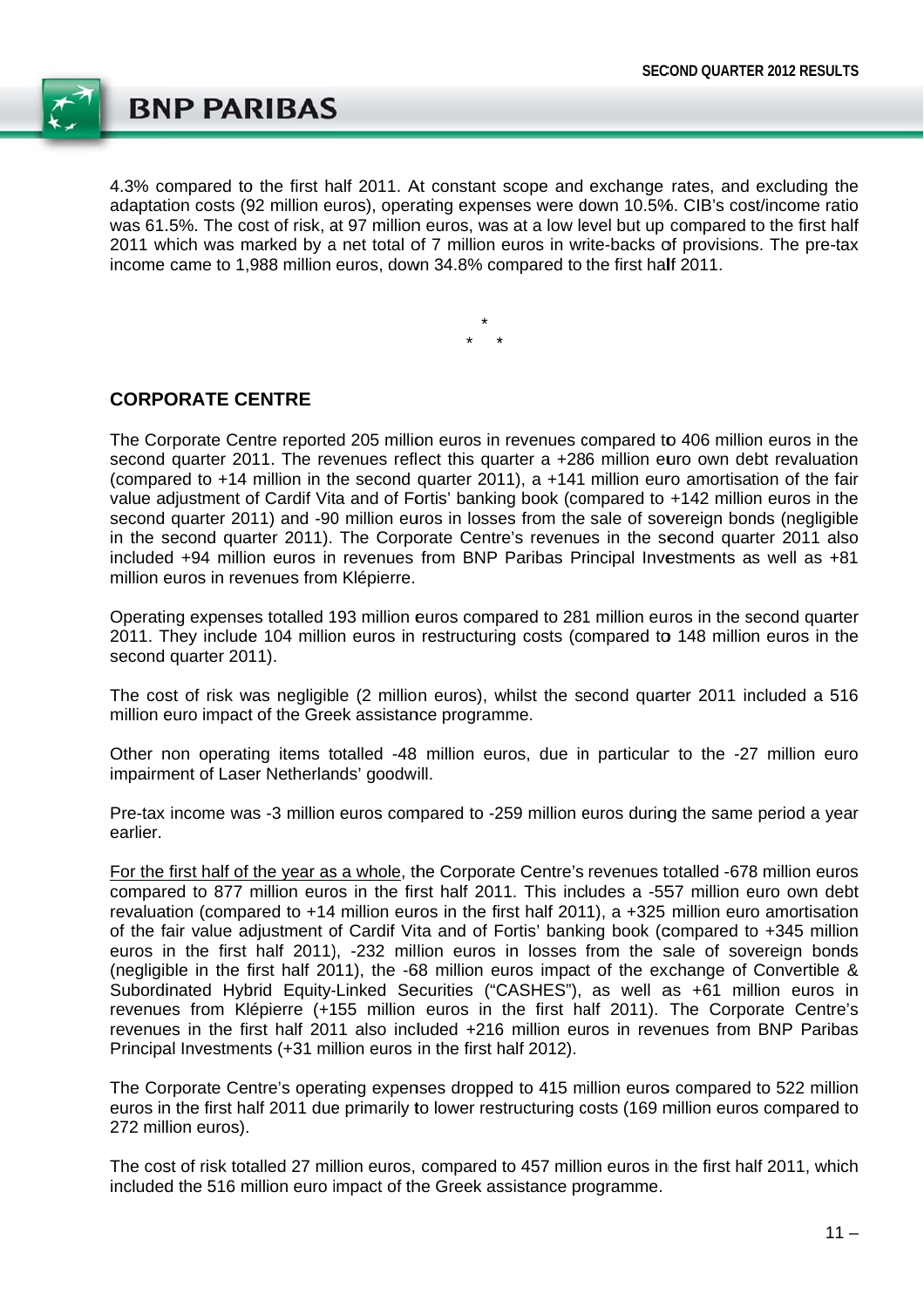

4.3% compared to the first half 2011. At constant scope and exchange rates, and excluding the adaptation costs (92 million euros), operating expenses were down 10.5%. CIB's cost/income ratio was 61.5%. The cost of risk, at 97 million euros, was at a low level but up compared to the first half 2011 which was marked by a net total of 7 million euros in write-backs of provisions. The pre-tax income came to 1.988 million euros, down 34.8% compared to the first half 2011.

### **CORPORATE CENTRE**

The Corporate Centre reported 205 million euros in revenues compared to 406 million euros in the second quarter 2011. The revenues reflect this quarter a +286 million euro own debt revaluation (compared to +14 million in the second quarter 2011), a +141 million euro amortisation of the fair value adjustment of Cardif Vita and of Fortis' banking book (compared to +142 million euros in the second quarter 2011) and -90 million euros in losses from the sale of sovereign bonds (negligible in the second quarter 2011). The Corporate Centre's revenues in the second quarter 2011 also included +94 million euros in revenues from BNP Paribas Principal Investments as well as +81 million euros in revenues from Klépierre.

Operating expenses totalled 193 million euros compared to 281 million euros in the second quarter 2011. They include 104 million euros in restructuring costs (compared to 148 million euros in the second quarter 2011).

The cost of risk was negligible (2 million euros), whilst the second quarter 2011 included a 516 million euro impact of the Greek assistance programme.

Other non operating items totalled -48 million euros, due in particular to the -27 million euro impairment of Laser Netherlands' goodwill.

Pre-tax income was -3 million euros compared to -259 million euros during the same period a year earlier.

For the first half of the year as a whole, the Corporate Centre's revenues totalled -678 million euros compared to 877 million euros in the first half 2011. This includes a -557 million euro own debt revaluation (compared to +14 million euros in the first half 2011), a +325 million euro amortisation of the fair value adjustment of Cardif Vita and of Fortis' banking book (compared to +345 million euros in the first half 2011), -232 million euros in losses from the sale of sovereign bonds (negligible in the first half 2011), the -68 million euros impact of the exchange of Convertible & Subordinated Hybrid Equity-Linked Securities ("CASHES"), as well as +61 million euros in revenues from Klépierre (+155 million euros in the first half 2011). The Corporate Centre's revenues in the first half 2011 also included +216 million euros in revenues from BNP Paribas Principal Investments (+31 million euros in the first half 2012).

The Corporate Centre's operating expenses dropped to 415 million euros compared to 522 million euros in the first half 2011 due primarily to lower restructuring costs (169 million euros compared to 272 million euros).

The cost of risk totalled 27 million euros, compared to 457 million euros in the first half 2011, which included the 516 million euro impact of the Greek assistance programme.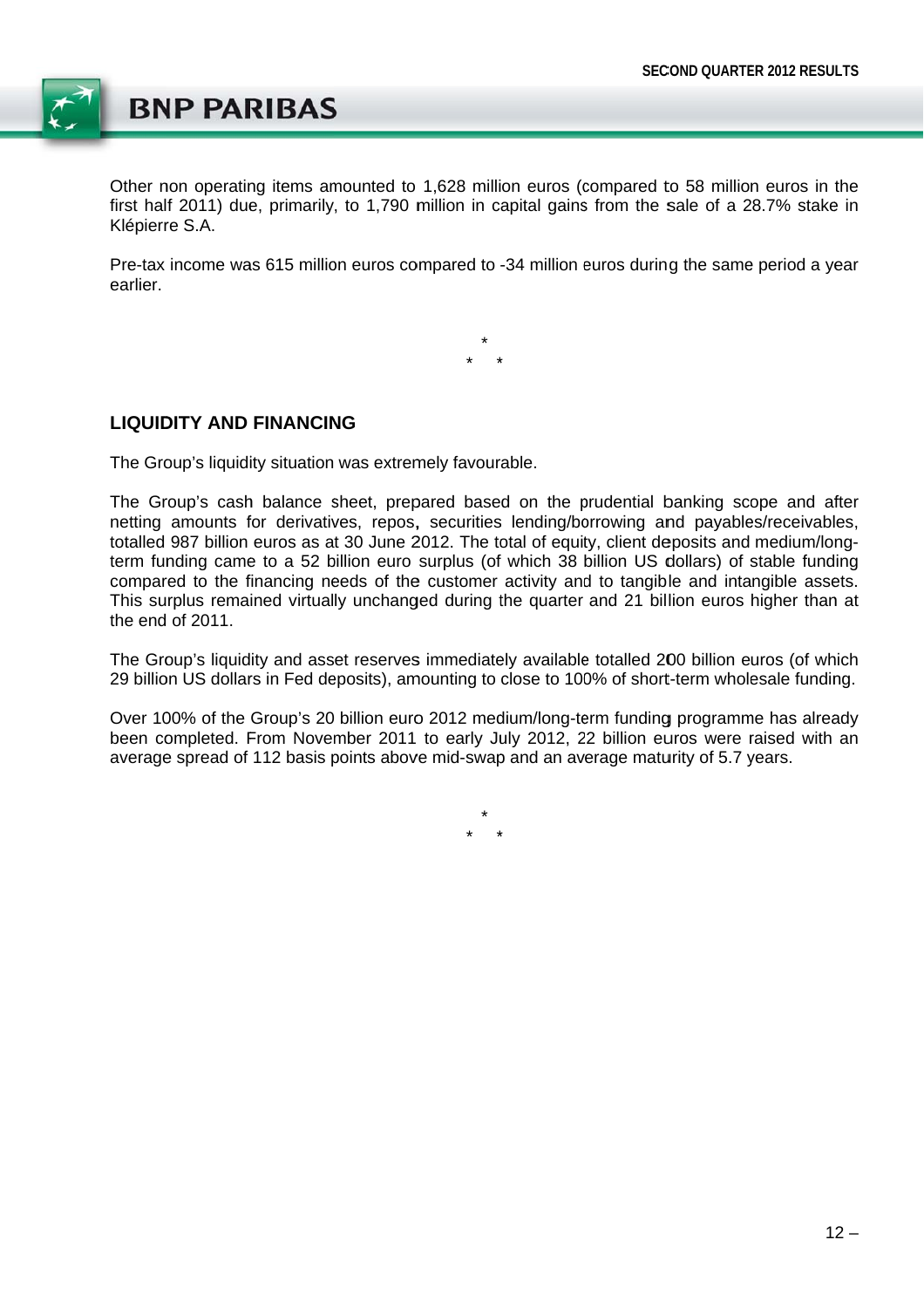

Other non operating items amounted to 1,628 million euros (compared to 58 million euros in the first half 2011) due, primarily, to 1,790 million in capital gains from the sale of a 28.7% stake in Klépierre S.A.

Pre-tax income was 615 million euros compared to -34 million euros during the same period a year earlier

### **LIQUIDITY AND FINANCING**

The Group's liquidity situation was extremely favourable.

The Group's cash balance sheet, prepared based on the prudential banking scope and after netting amounts for derivatives, repos, securities lending/borrowing and payables/receivables, totalled 987 billion euros as at 30 June 2012. The total of equity, client deposits and medium/longterm funding came to a 52 billion euro surplus (of which 38 billion US dollars) of stable funding compared to the financing needs of the customer activity and to tangible and intangible assets. This surplus remained virtually unchanged during the quarter and 21 billion euros higher than at the end of 2011.

The Group's liquidity and asset reserves immediately available totalled 200 billion euros (of which 29 billion US dollars in Fed deposits), amounting to close to 100% of short-term wholesale funding.

Over 100% of the Group's 20 billion euro 2012 medium/long-term funding programme has already been completed. From November 2011 to early July 2012, 22 billion euros were raised with an average spread of 112 basis points above mid-swap and an average maturity of 5.7 years.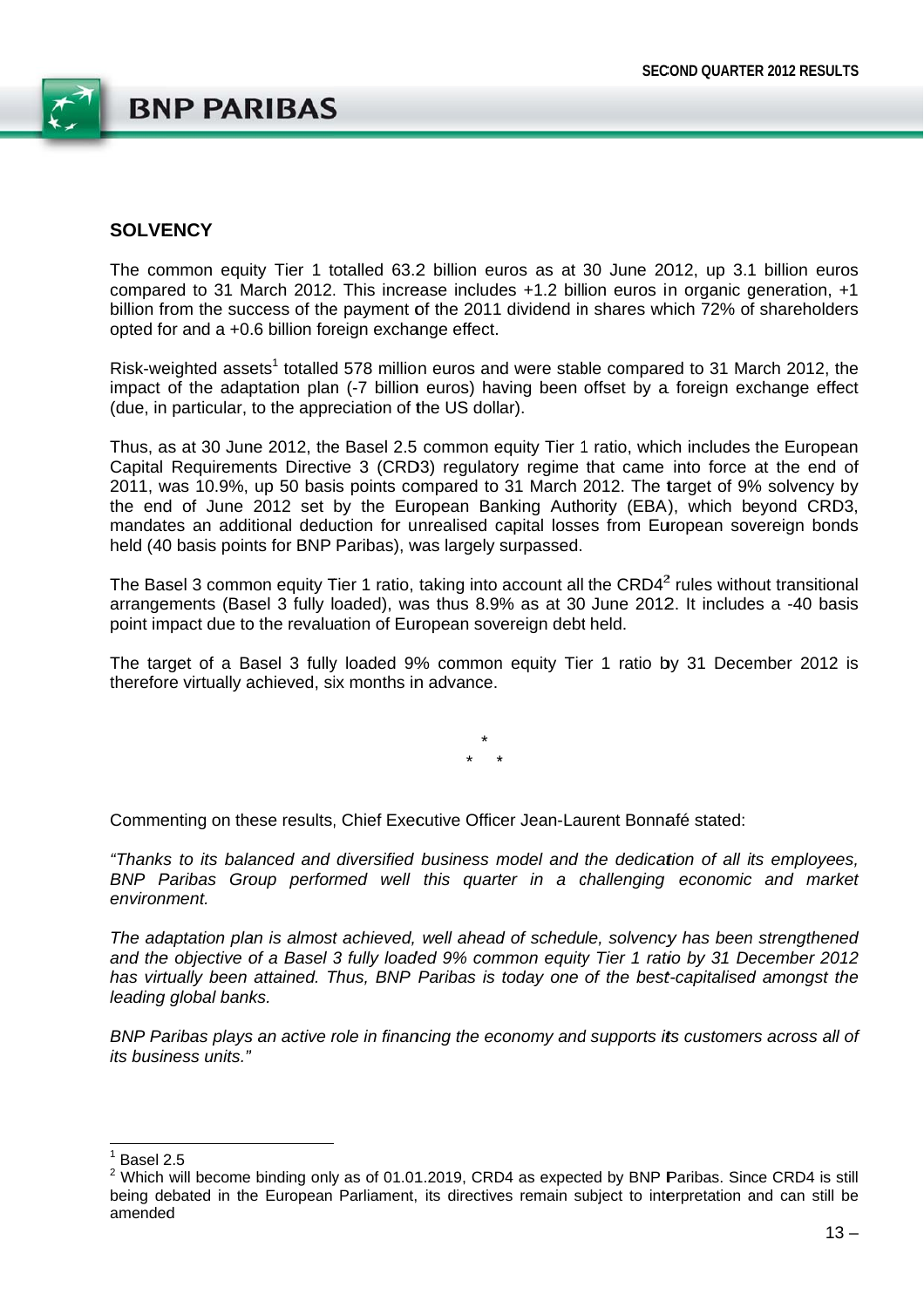

### **SOLVENCY**

The common equity Tier 1 totalled 63.2 billion euros as at 30 June 2012, up 3.1 billion euros compared to 31 March 2012. This increase includes +1.2 billion euros in organic generation, +1 billion from the success of the payment of the 2011 dividend in shares which 72% of shareholders opted for and a +0.6 billion foreign exchange effect.

Risk-weighted assets<sup>1</sup> totalled 578 million euros and were stable compared to 31 March 2012, the impact of the adaptation plan (-7 billion euros) having been offset by a foreign exchange effect (due, in particular, to the appreciation of the US dollar).

Thus, as at 30 June 2012, the Basel 2.5 common equity Tier 1 ratio, which includes the European Capital Requirements Directive 3 (CRD3) requlatory regime that came into force at the end of 2011, was 10.9%, up 50 basis points compared to 31 March 2012. The target of 9% solvency by the end of June 2012 set by the European Banking Authority (EBA), which beyond CRD3, mandates an additional deduction for unrealised capital losses from European sovereign bonds held (40 basis points for BNP Paribas), was largely surpassed.

The Basel 3 common equity Tier 1 ratio, taking into account all the CRD4<sup>2</sup> rules without transitional arrangements (Basel 3 fully loaded), was thus 8.9% as at 30 June 2012. It includes a -40 basis point impact due to the revaluation of European sovereign debt held.

The target of a Basel 3 fully loaded 9% common equity Tier 1 ratio by 31 December 2012 is therefore virtually achieved, six months in advance.

Commenting on these results. Chief Executive Officer Jean-Laurent Bonnafé stated:

"Thanks to its balanced and diversified business model and the dedication of all its emplovees. BNP Paribas Group performed well this quarter in a challenging economic and market environment.

The adaptation plan is almost achieved, well ahead of schedule, solvency has been strengthened and the objective of a Basel 3 fully loaded 9% common equity Tier 1 ratio by 31 December 2012 has virtually been attained. Thus, BNP Paribas is today one of the best-capitalised amongst the leading global banks.

BNP Paribas plays an active role in financing the economy and supports its customers across all of its business units."

 $<sup>1</sup>$  Basel 2.5</sup>

<sup>&</sup>lt;sup>2</sup> Which will become binding only as of 01.01.2019, CRD4 as expected by BNP Paribas. Since CRD4 is still being debated in the European Parliament, its directives remain subject to interpretation and can still be amended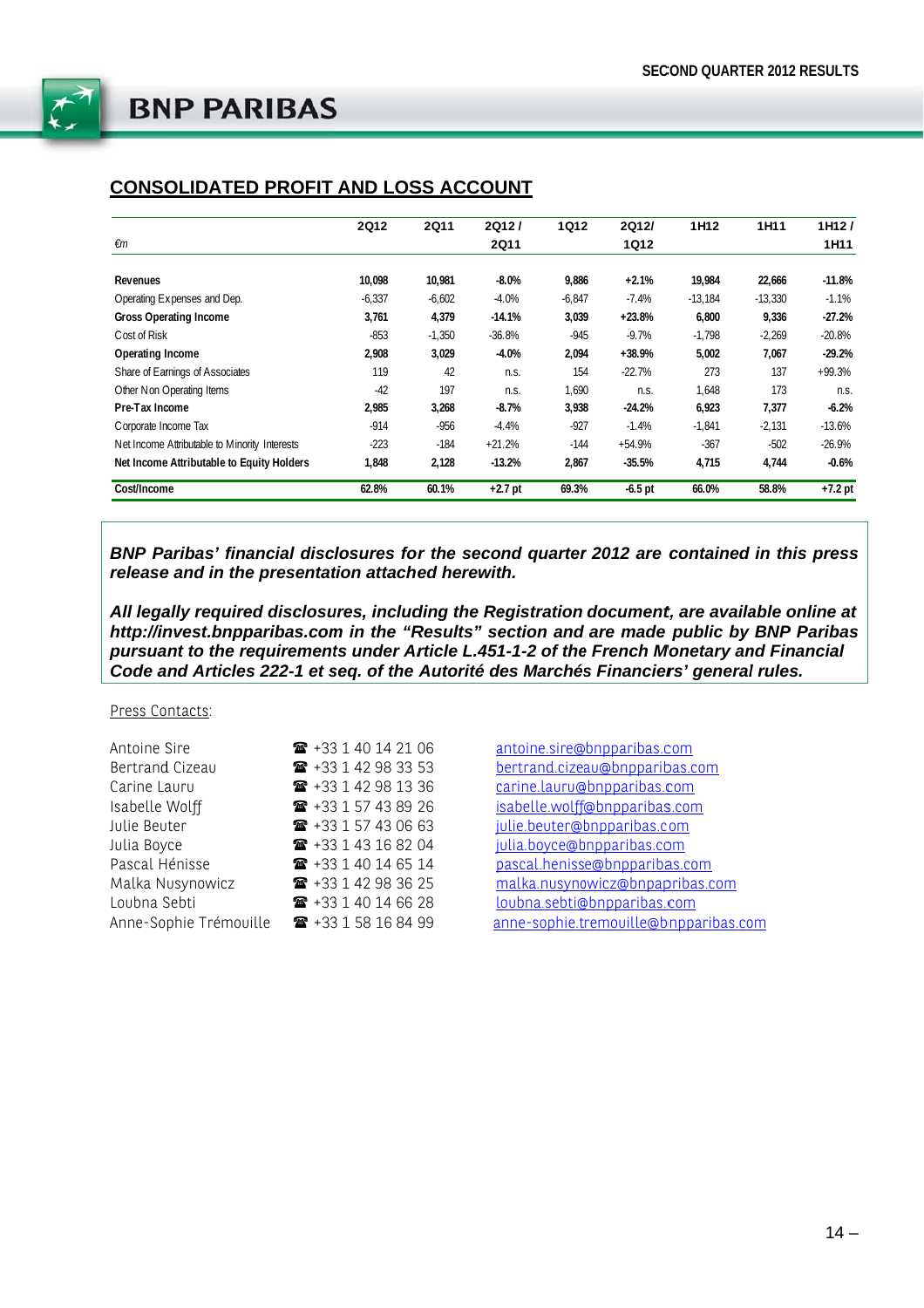

## **CONSOLIDATED PROFIT AND LOSS ACCOUNT**

|                                               | <b>2Q12</b> | <b>2Q11</b> | 2Q12/       | <b>1Q12</b> | 2Q12/     | 1H <sub>12</sub> | 1H11      | 1H12I     |
|-----------------------------------------------|-------------|-------------|-------------|-------------|-----------|------------------|-----------|-----------|
| €m                                            |             |             | <b>2Q11</b> |             | 1Q12      |                  |           | 1H11      |
| <b>Revenues</b>                               | 10,098      | 10,981      | $-8.0\%$    | 9,886       | $+2.1%$   | 19,984           | 22,666    | $-11.8%$  |
| Operating Expenses and Dep.                   | $-6,337$    | $-6,602$    | $-4.0%$     | $-6,847$    | $-7.4%$   | $-13,184$        | $-13,330$ | $-1.1%$   |
| <b>Gross Operating Income</b>                 | 3,761       | 4,379       | $-14.1%$    | 3,039       | $+23.8%$  | 6.800            | 9,336     | $-27.2%$  |
| Cost of Risk                                  | $-853$      | $-1,350$    | $-36.8%$    | $-945$      | $-9.7%$   | $-1,798$         | $-2,269$  | $-20.8%$  |
| Operating Income                              | 2,908       | 3,029       | $-4.0%$     | 2,094       | $+38.9%$  | 5,002            | 7,067     | $-29.2%$  |
| Share of Earnings of Associates               | 119         | 42          | n.s.        | 154         | $-22.7%$  | 273              | 137       | $+99.3%$  |
| Other Non Operating Items                     | $-42$       | 197         | n.s.        | 1,690       | n.s.      | 1,648            | 173       | n.S.      |
| Pre-Tax Income                                | 2,985       | 3,268       | $-8.7%$     | 3,938       | $-24.2%$  | 6,923            | 7,377     | $-6.2%$   |
| Corporate Income Tax                          | $-914$      | $-956$      | $-4.4%$     | $-927$      | $-1.4%$   | $-1.841$         | $-2,131$  | $-13.6%$  |
| Net Income Attributable to Minority Interests | $-223$      | $-184$      | $+21.2%$    | $-144$      | $+54.9%$  | $-367$           | $-502$    | $-26.9%$  |
| Net Income Attributable to Equity Holders     | 1,848       | 2,128       | $-13.2%$    | 2,867       | $-35.5%$  | 4,715            | 4,744     | $-0.6%$   |
| Cost/Income                                   | 62.8%       | 60.1%       | $+2.7$ pt   | 69.3%       | $-6.5$ pt | 66.0%            | 58.8%     | $+7.2$ pt |

BNP Paribas' financial disclosures for the second quarter 2012 are contained in this press release and in the presentation attached herewith.

All legally required disclosures, including the Registration document, are available online at http://invest.bnpparibas.com in the "Results" section and are made public by BNP Paribas pursuant to the requirements under Article L.451-1-2 of the French Monetary and Financial Code and Articles 222-1 et seg. of the Autorité des Marchés Financiers' general rules.

#### Press Contacts:

| ■ +33 1 40 14 21 06            |
|--------------------------------|
| ☎ +33 1 42 98 33 53            |
| ☎ +33 1 42 98 13 36            |
| ☎ +33 1 57 43 89 26            |
| $\bullet$ +33 1 57 43 06 63    |
| $\bullet$ +33 1 43 16 82 04    |
| ☎ +33 1 40 14 65 14            |
| ☎ +33 1 42 98 36 25            |
| $\textbf{1}$ +33 1 40 14 66 28 |
| ☎ +33 1 58 16 84 99            |
|                                |

antoine.sire@bnpparibas.com bertrand.cizeau@bnpparibas.com carine.lauru@bnpparibas.com isabelle.wolff@bnpparibas.com julie.beuter@bnpparibas.com iulia.boyce@bnpparibas.com pascal.henisse@bnpparibas.com malka.nusynowicz@bnpapribas.com loubna.sebti@bnpparibas.com anne-sophie.tremouille@bnpparibas.com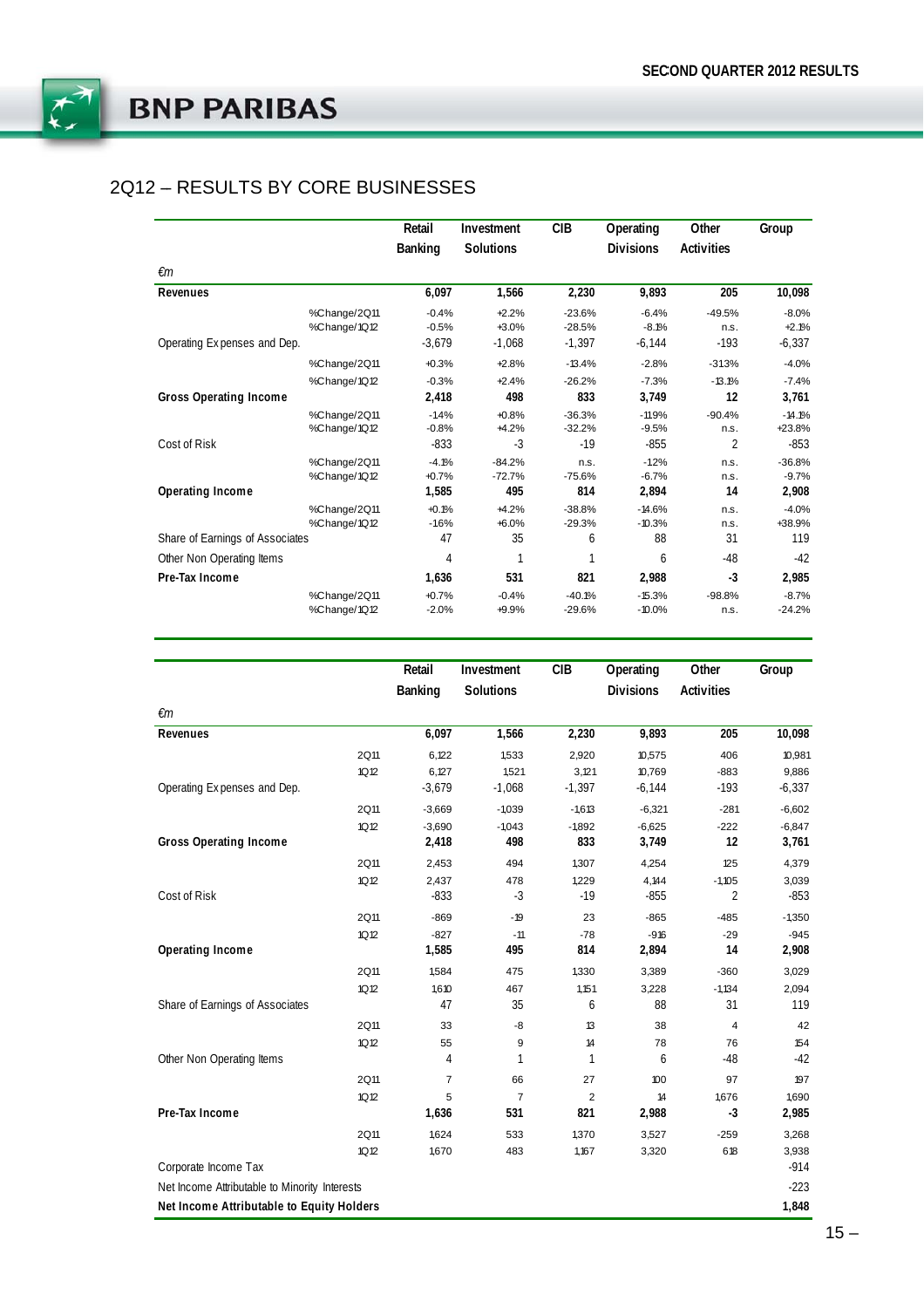

## 2Q12 - RESULTS BY CORE BUSINESSES

|                                 |              | Retail         | Investment       | CIB      | Operating        | Other             | Group    |
|---------------------------------|--------------|----------------|------------------|----------|------------------|-------------------|----------|
|                                 |              | <b>Banking</b> | <b>Solutions</b> |          | <b>Divisions</b> | <b>Activities</b> |          |
| €m                              |              |                |                  |          |                  |                   |          |
| Revenues                        |              | 6,097          | 1,566            | 2,230    | 9,893            | 205               | 10,098   |
|                                 | %Change/2Q11 | $-0.4%$        | $+2.2%$          | $-23.6%$ | $-6.4%$          | $-49.5%$          | $-8.0%$  |
|                                 | %Change/1Q12 | $-0.5%$        | $+3.0%$          | $-28.5%$ | $-8.1%$          | n.s.              | $+2.1%$  |
| Operating Expenses and Dep.     |              | $-3,679$       | $-1,068$         | $-1,397$ | $-6,144$         | $-193$            | $-6,337$ |
|                                 | %Change/2Q11 | $+0.3%$        | $+2.8%$          | $-13.4%$ | $-2.8%$          | $-31.3%$          | $-4.0%$  |
|                                 | %Change/1Q12 | $-0.3%$        | $+2.4%$          | $-26.2%$ | $-7.3%$          | $-13.1%$          | $-7.4%$  |
| <b>Gross Operating Income</b>   |              | 2,418          | 498              | 833      | 3,749            | 12                | 3,761    |
|                                 | %Change/2Q11 | $-1.4%$        | $+0.8%$          | $-36.3%$ | $-11.9%$         | $-90.4%$          | $-14.1%$ |
|                                 | %Change/1Q12 | $-0.8%$        | $+4.2%$          | $-32.2%$ | $-9.5%$          | n.s.              | +23.8%   |
| Cost of Risk                    |              | $-833$         | $-3$             | $-19$    | $-855$           | $\overline{2}$    | $-853$   |
|                                 | %Change/2Q11 | $-4.1%$        | $-84.2%$         | n.s.     | $-1.2%$          | n.s.              | $-36.8%$ |
|                                 | %Change/1Q12 | $+0.7%$        | $-72.7%$         | $-75.6%$ | $-6.7%$          | n.s.              | $-9.7%$  |
| Operating Income                |              | 1,585          | 495              | 814      | 2,894            | 14                | 2,908    |
|                                 | %Change/2Q11 | $+0.1%$        | $+4.2%$          | $-38.8%$ | $-14.6%$         | n.s.              | $-4.0%$  |
|                                 | %Change/1Q12 | $-16%$         | $+6.0%$          | $-29.3%$ | $-10.3%$         | n.s.              | +38.9%   |
| Share of Earnings of Associates |              | 47             | 35               | 6        | 88               | 31                | 119      |
| Other Non Operating Items       |              | $\overline{4}$ |                  |          | 6                | $-48$             | $-42$    |
| Pre-Tax Income                  |              | 1,636          | 531              | 821      | 2,988            | $-3$              | 2,985    |
|                                 | %Change/2Q11 | $+0.7%$        | $-0.4%$          | $-40.1%$ | $-15.3%$         | $-98.8%$          | $-8.7%$  |
|                                 | %Change/1Q12 | $-2.0%$        | +9.9%            | $-29.6%$ | $-10.0%$         | n.s.              | $-24.2%$ |

| <b>Solutions</b><br><b>Activities</b><br>Banking<br><b>Divisions</b><br>€m<br>1,566<br>2,230<br>9,893<br>205<br>Revenues<br>6,097<br>2Q11<br>6,122<br>1,533<br>2,920<br>10,575<br>406<br>1Q12<br>6,127<br>1,521<br>10,769<br>$-883$<br>3,121<br>$-3,679$<br>$-193$<br>Operating Expenses and Dep.<br>$-1,068$<br>$-1,397$<br>$-6,144$<br>2Q11<br>$-3,669$<br>$-1,039$<br>$-6,321$<br>$-281$<br>$-1,613$<br>1Q12<br>$-3,690$<br>$-1,043$<br>$-1,892$<br>$-6,625$<br>$-222$<br><b>Gross Operating Income</b><br>833<br>3,749<br>12<br>2,418<br>498<br>2Q11<br>2,453<br>494<br>1,307<br>4,254<br>125<br>1Q12<br>2,437<br>478<br>1,229<br>4,144<br>$-1,105$<br>Cost of Risk<br>$-833$<br>$-19$<br>2<br>$-3$<br>$-855$<br>2Q11<br>$-869$<br>23<br>$-865$<br>$-19$<br>$-485$<br>$-827$<br>$-11$<br>$-78$<br>$-916$<br>$-29$<br>1Q12<br>Operating Income<br>1,585<br>814<br>2,894<br>14<br>495<br>2Q11<br>1,584<br>475<br>1,330<br>3,389<br>$-360$<br>1Q12<br>1,610<br>467<br>1,151<br>3,228<br>$-1,134$<br>Share of Earnings of Associates<br>47<br>35<br>88<br>31<br>6<br><b>2Q11</b><br>38<br>33<br>-8<br>13<br>4<br>1Q12<br>55<br>9<br>14<br>78<br>76<br>Other Non Operating Items<br>1<br>$\mathbf{1}$<br>$-48$<br>4<br>6<br><b>2Q11</b><br>$\overline{7}$<br>66<br>27<br>97<br>100<br>5<br>$\overline{7}$<br>$\overline{2}$<br>1,676<br>1Q12<br>14<br>Pre-Tax Income<br>531<br>821<br>2,988<br>$-3$<br>1,636 | Retail | Investment | <b>CIB</b> | Operating | Other | Group    |
|-------------------------------------------------------------------------------------------------------------------------------------------------------------------------------------------------------------------------------------------------------------------------------------------------------------------------------------------------------------------------------------------------------------------------------------------------------------------------------------------------------------------------------------------------------------------------------------------------------------------------------------------------------------------------------------------------------------------------------------------------------------------------------------------------------------------------------------------------------------------------------------------------------------------------------------------------------------------------------------------------------------------------------------------------------------------------------------------------------------------------------------------------------------------------------------------------------------------------------------------------------------------------------------------------------------------------------------------------------------------------------------------------------------|--------|------------|------------|-----------|-------|----------|
|                                                                                                                                                                                                                                                                                                                                                                                                                                                                                                                                                                                                                                                                                                                                                                                                                                                                                                                                                                                                                                                                                                                                                                                                                                                                                                                                                                                                             |        |            |            |           |       |          |
|                                                                                                                                                                                                                                                                                                                                                                                                                                                                                                                                                                                                                                                                                                                                                                                                                                                                                                                                                                                                                                                                                                                                                                                                                                                                                                                                                                                                             |        |            |            |           |       |          |
|                                                                                                                                                                                                                                                                                                                                                                                                                                                                                                                                                                                                                                                                                                                                                                                                                                                                                                                                                                                                                                                                                                                                                                                                                                                                                                                                                                                                             |        |            |            |           |       | 10,098   |
|                                                                                                                                                                                                                                                                                                                                                                                                                                                                                                                                                                                                                                                                                                                                                                                                                                                                                                                                                                                                                                                                                                                                                                                                                                                                                                                                                                                                             |        |            |            |           |       | 10,981   |
|                                                                                                                                                                                                                                                                                                                                                                                                                                                                                                                                                                                                                                                                                                                                                                                                                                                                                                                                                                                                                                                                                                                                                                                                                                                                                                                                                                                                             |        |            |            |           |       | 9,886    |
|                                                                                                                                                                                                                                                                                                                                                                                                                                                                                                                                                                                                                                                                                                                                                                                                                                                                                                                                                                                                                                                                                                                                                                                                                                                                                                                                                                                                             |        |            |            |           |       | $-6,337$ |
|                                                                                                                                                                                                                                                                                                                                                                                                                                                                                                                                                                                                                                                                                                                                                                                                                                                                                                                                                                                                                                                                                                                                                                                                                                                                                                                                                                                                             |        |            |            |           |       | $-6,602$ |
|                                                                                                                                                                                                                                                                                                                                                                                                                                                                                                                                                                                                                                                                                                                                                                                                                                                                                                                                                                                                                                                                                                                                                                                                                                                                                                                                                                                                             |        |            |            |           |       | $-6,847$ |
|                                                                                                                                                                                                                                                                                                                                                                                                                                                                                                                                                                                                                                                                                                                                                                                                                                                                                                                                                                                                                                                                                                                                                                                                                                                                                                                                                                                                             |        |            |            |           |       | 3,761    |
|                                                                                                                                                                                                                                                                                                                                                                                                                                                                                                                                                                                                                                                                                                                                                                                                                                                                                                                                                                                                                                                                                                                                                                                                                                                                                                                                                                                                             |        |            |            |           |       | 4,379    |
|                                                                                                                                                                                                                                                                                                                                                                                                                                                                                                                                                                                                                                                                                                                                                                                                                                                                                                                                                                                                                                                                                                                                                                                                                                                                                                                                                                                                             |        |            |            |           |       | 3,039    |
|                                                                                                                                                                                                                                                                                                                                                                                                                                                                                                                                                                                                                                                                                                                                                                                                                                                                                                                                                                                                                                                                                                                                                                                                                                                                                                                                                                                                             |        |            |            |           |       | $-853$   |
|                                                                                                                                                                                                                                                                                                                                                                                                                                                                                                                                                                                                                                                                                                                                                                                                                                                                                                                                                                                                                                                                                                                                                                                                                                                                                                                                                                                                             |        |            |            |           |       | $-1,350$ |
|                                                                                                                                                                                                                                                                                                                                                                                                                                                                                                                                                                                                                                                                                                                                                                                                                                                                                                                                                                                                                                                                                                                                                                                                                                                                                                                                                                                                             |        |            |            |           |       | $-945$   |
|                                                                                                                                                                                                                                                                                                                                                                                                                                                                                                                                                                                                                                                                                                                                                                                                                                                                                                                                                                                                                                                                                                                                                                                                                                                                                                                                                                                                             |        |            |            |           |       | 2,908    |
|                                                                                                                                                                                                                                                                                                                                                                                                                                                                                                                                                                                                                                                                                                                                                                                                                                                                                                                                                                                                                                                                                                                                                                                                                                                                                                                                                                                                             |        |            |            |           |       | 3,029    |
|                                                                                                                                                                                                                                                                                                                                                                                                                                                                                                                                                                                                                                                                                                                                                                                                                                                                                                                                                                                                                                                                                                                                                                                                                                                                                                                                                                                                             |        |            |            |           |       | 2,094    |
|                                                                                                                                                                                                                                                                                                                                                                                                                                                                                                                                                                                                                                                                                                                                                                                                                                                                                                                                                                                                                                                                                                                                                                                                                                                                                                                                                                                                             |        |            |            |           |       | 119      |
|                                                                                                                                                                                                                                                                                                                                                                                                                                                                                                                                                                                                                                                                                                                                                                                                                                                                                                                                                                                                                                                                                                                                                                                                                                                                                                                                                                                                             |        |            |            |           |       | 42       |
|                                                                                                                                                                                                                                                                                                                                                                                                                                                                                                                                                                                                                                                                                                                                                                                                                                                                                                                                                                                                                                                                                                                                                                                                                                                                                                                                                                                                             |        |            |            |           |       | 154      |
|                                                                                                                                                                                                                                                                                                                                                                                                                                                                                                                                                                                                                                                                                                                                                                                                                                                                                                                                                                                                                                                                                                                                                                                                                                                                                                                                                                                                             |        |            |            |           |       | $-42$    |
|                                                                                                                                                                                                                                                                                                                                                                                                                                                                                                                                                                                                                                                                                                                                                                                                                                                                                                                                                                                                                                                                                                                                                                                                                                                                                                                                                                                                             |        |            |            |           |       | 197      |
|                                                                                                                                                                                                                                                                                                                                                                                                                                                                                                                                                                                                                                                                                                                                                                                                                                                                                                                                                                                                                                                                                                                                                                                                                                                                                                                                                                                                             |        |            |            |           |       | 1,690    |
|                                                                                                                                                                                                                                                                                                                                                                                                                                                                                                                                                                                                                                                                                                                                                                                                                                                                                                                                                                                                                                                                                                                                                                                                                                                                                                                                                                                                             |        |            |            |           |       | 2,985    |
| <b>2Q11</b><br>1,624<br>533<br>3,527<br>$-259$<br>1,370                                                                                                                                                                                                                                                                                                                                                                                                                                                                                                                                                                                                                                                                                                                                                                                                                                                                                                                                                                                                                                                                                                                                                                                                                                                                                                                                                     |        |            |            |           |       | 3,268    |
| 1Q12<br>1,670<br>483<br>1,167<br>3,320<br>618                                                                                                                                                                                                                                                                                                                                                                                                                                                                                                                                                                                                                                                                                                                                                                                                                                                                                                                                                                                                                                                                                                                                                                                                                                                                                                                                                               |        |            |            |           |       | 3,938    |
| Corporate Income Tax                                                                                                                                                                                                                                                                                                                                                                                                                                                                                                                                                                                                                                                                                                                                                                                                                                                                                                                                                                                                                                                                                                                                                                                                                                                                                                                                                                                        |        |            |            |           |       | $-914$   |
| Net Income Attributable to Minority Interests                                                                                                                                                                                                                                                                                                                                                                                                                                                                                                                                                                                                                                                                                                                                                                                                                                                                                                                                                                                                                                                                                                                                                                                                                                                                                                                                                               |        |            |            |           |       | $-223$   |
| Net Income Attributable to Equity Holders                                                                                                                                                                                                                                                                                                                                                                                                                                                                                                                                                                                                                                                                                                                                                                                                                                                                                                                                                                                                                                                                                                                                                                                                                                                                                                                                                                   |        |            |            |           |       | 1,848    |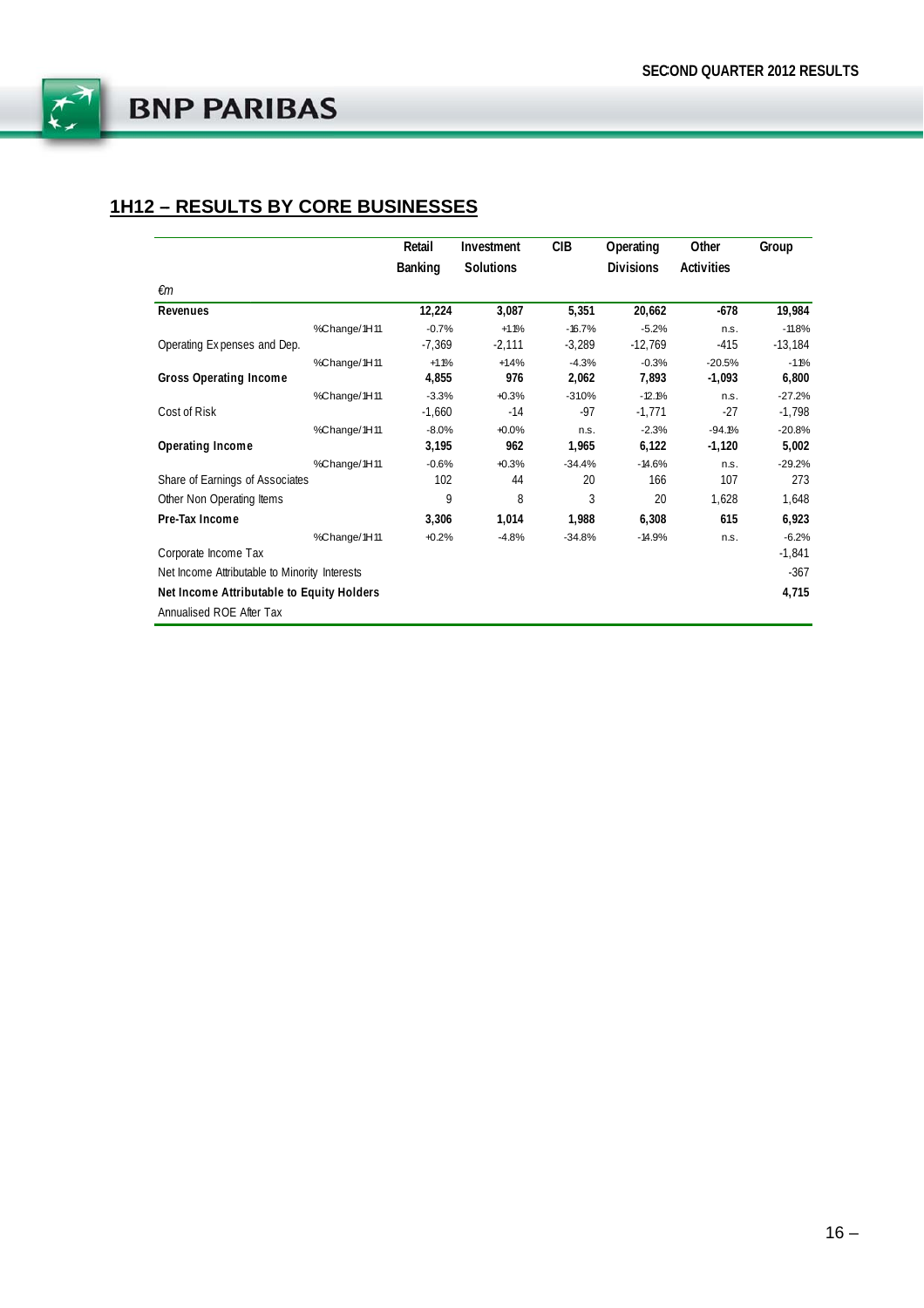

## **1H12 - RESULTS BY CORE BUSINESSES**

|                                               |              | Retail         | Investment | CIB      | Operating        | Other      | Group     |
|-----------------------------------------------|--------------|----------------|------------|----------|------------------|------------|-----------|
|                                               |              | <b>Banking</b> | Solutions  |          | <b>Divisions</b> | Activities |           |
| €m                                            |              |                |            |          |                  |            |           |
| Revenues                                      |              | 12,224         | 3,087      | 5,351    | 20,662           | $-678$     | 19,984    |
|                                               | %Change/1H11 | $-0.7%$        | $+1.1%$    | $-16.7%$ | $-5.2%$          | n.s.       | $-11.8%$  |
| Operating Expenses and Dep.                   |              | $-7,369$       | $-2,111$   | $-3,289$ | $-12,769$        | $-415$     | $-13,184$ |
|                                               | %Change/1H11 | $+1.1%$        | $+1.4%$    | $-4.3%$  | $-0.3%$          | $-20.5%$   | $-1.1%$   |
| <b>Gross Operating Income</b>                 |              | 4,855          | 976        | 2,062    | 7,893            | $-1,093$   | 6,800     |
|                                               | %Change/1H11 | $-3.3%$        | $+0.3%$    | $-31.0%$ | $-12.1%$         | n.s.       | $-27.2%$  |
| Cost of Risk                                  |              | $-1,660$       | $-14$      | -97      | $-1,771$         | $-27$      | $-1,798$  |
|                                               | %Change/1H11 | $-8.0%$        | $+0.0%$    | n.s.     | $-2.3%$          | $-94.1%$   | $-20.8%$  |
| Operating Income                              |              | 3,195          | 962        | 1,965    | 6,122            | $-1,120$   | 5,002     |
|                                               | %Change/1H11 | $-0.6%$        | $+0.3%$    | $-34.4%$ | $-14.6%$         | n.s.       | $-29.2%$  |
| Share of Earnings of Associates               |              | 102            | 44         | 20       | 166              | 107        | 273       |
| Other Non Operating Items                     |              | 9              | 8          | 3        | 20               | 1,628      | 1,648     |
| Pre-Tax Income                                |              | 3,306          | 1,014      | 1,988    | 6,308            | 615        | 6,923     |
|                                               | %Change/1H11 | $+0.2%$        | $-4.8%$    | $-34.8%$ | $-14.9%$         | n.s.       | $-6.2%$   |
| Corporate Income Tax                          |              |                |            |          |                  |            | $-1,841$  |
| Net Income Attributable to Minority Interests |              |                |            |          |                  |            | $-367$    |
| Net Income Attributable to Equity Holders     |              |                |            |          |                  |            | 4,715     |
| Annualised ROE After Tax                      |              |                |            |          |                  |            |           |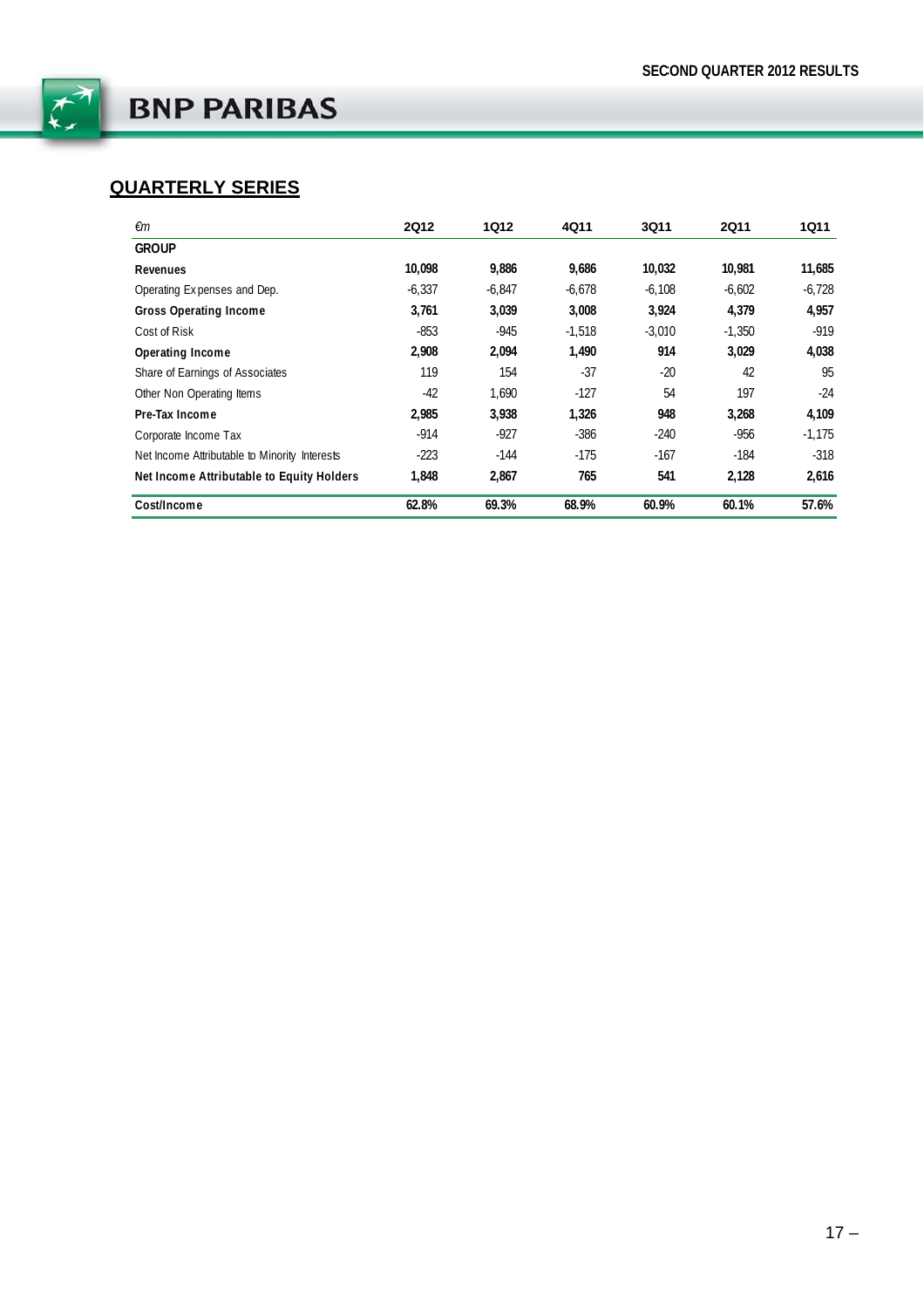

# **QUARTERLY SERIES**

| €m                                            | <b>2Q12</b> | <b>1Q12</b> | 4Q11     | <b>3Q11</b> | <b>2Q11</b> | 1Q11     |
|-----------------------------------------------|-------------|-------------|----------|-------------|-------------|----------|
| <b>GROUP</b>                                  |             |             |          |             |             |          |
| Revenues                                      | 10.098      | 9,886       | 9,686    | 10,032      | 10,981      | 11,685   |
| Operating Expenses and Dep.                   | $-6.337$    | $-6.847$    | $-6.678$ | $-6.108$    | $-6.602$    | $-6.728$ |
| <b>Gross Operating Income</b>                 | 3,761       | 3,039       | 3.008    | 3,924       | 4,379       | 4,957    |
| Cost of Risk                                  | $-853$      | $-945$      | $-1.518$ | $-3.010$    | $-1.350$    | $-919$   |
| Operating Income                              | 2,908       | 2,094       | 1.490    | 914         | 3,029       | 4,038    |
| Share of Earnings of Associates               | 119         | 154         | $-37$    | $-20$       | 42          | 95       |
| Other Non Operating Items                     | $-42$       | 1.690       | $-127$   | 54          | 197         | $-24$    |
| Pre-Tax Income                                | 2,985       | 3,938       | 1,326    | 948         | 3,268       | 4,109    |
| Corporate Income Tax                          | $-914$      | $-927$      | $-386$   | $-240$      | -956        | $-1,175$ |
| Net Income Attributable to Minority Interests | $-223$      | $-144$      | $-175$   | $-167$      | -184        | $-318$   |
| Net Income Attributable to Equity Holders     | 1.848       | 2.867       | 765      | 541         | 2.128       | 2,616    |
| Cost/Income                                   | 62.8%       | 69.3%       | 68.9%    | 60.9%       | 60.1%       | 57.6%    |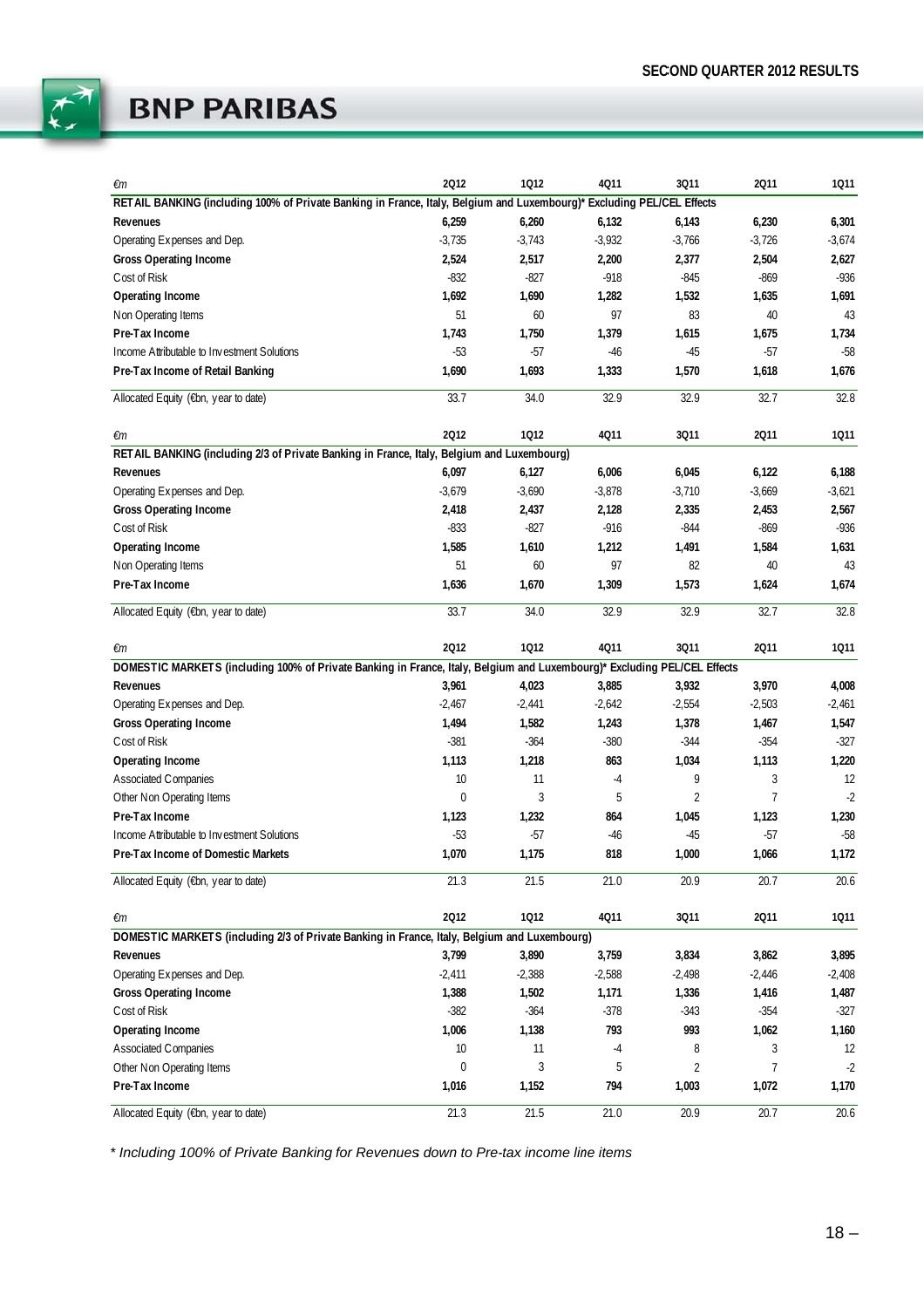

| €m                                                                                                                       | 2012         | 1012           | 4011     | 3011           | 2011           | 1011     |
|--------------------------------------------------------------------------------------------------------------------------|--------------|----------------|----------|----------------|----------------|----------|
| RETAIL BANKING (including 100% of Private Banking in France, Italy, Belgium and Luxembourg)* Excluding PEL/CEL Effects   |              |                |          |                |                |          |
| Revenues                                                                                                                 | 6,259        | 6,260          | 6,132    | 6,143          | 6,230          | 6,301    |
| Operating Expenses and Dep.                                                                                              | $-3,735$     | $-3,743$       | $-3,932$ | $-3,766$       | $-3,726$       | $-3,674$ |
| <b>Gross Operating Income</b>                                                                                            | 2,524        | 2,517          | 2,200    | 2,377          | 2,504          | 2,627    |
| Cost of Risk                                                                                                             | $-832$       | $-827$         | $-918$   | $-845$         | $-869$         | $-936$   |
| Operating Income                                                                                                         | 1,692        | 1,690          | 1,282    | 1,532          | 1,635          | 1,691    |
| Non Operating Items                                                                                                      | 51           | 60             | 97       | 83             | 40             | 43       |
| Pre-Tax Income                                                                                                           | 1,743        | 1,750          | 1,379    | 1,615          | 1,675          | 1,734    |
| Income Attributable to Investment Solutions                                                                              | $-53$        | $-57$          | $-46$    | $-45$          | $-57$          | $-58$    |
| Pre-Tax Income of Retail Banking                                                                                         | 1,690        | 1,693          | 1,333    | 1,570          | 1,618          | 1,676    |
| Allocated Equity (€bn, year to date)                                                                                     | 33.7         | 34.0           | 32.9     | 32.9           | 32.7           | 32.8     |
| €m                                                                                                                       | 2012         | 1012           | 4Q11     | 3Q11           | 2011           | 1011     |
| RETAIL BANKING (including 2/3 of Private Banking in France, Italy, Belgium and Luxembourg)                               |              |                |          |                |                |          |
| Revenues                                                                                                                 | 6,097        | 6,127          | 6,006    | 6,045          | 6,122          | 6,188    |
| Operating Expenses and Dep.                                                                                              | $-3,679$     | $-3,690$       | $-3,878$ | $-3,710$       | $-3,669$       | $-3,621$ |
| <b>Gross Operating Income</b>                                                                                            | 2,418        | 2,437          | 2,128    | 2,335          | 2,453          | 2,567    |
| Cost of Risk                                                                                                             | $-833$       | $-827$         | $-916$   | $-844$         | $-869$         | $-936$   |
| Operating Income                                                                                                         | 1,585        | 1,610          | 1,212    | 1,491          | 1,584          | 1,631    |
| Non Operating Items                                                                                                      | 51           | 60             | 97       | 82             | 40             | 43       |
| Pre-Tax Income                                                                                                           | 1,636        | 1,670          | 1,309    | 1,573          | 1,624          | 1,674    |
| Allocated Equity (€bn, year to date)                                                                                     | 33.7         | 34.0           | 32.9     | 32.9           | 32.7           | 32.8     |
| €m                                                                                                                       | 2012         | 1012           | 4011     | 3011           | 2011           | 1011     |
| DOMESTIC MARKETS (including 100% of Private Banking in France, Italy, Belgium and Luxembourg)* Excluding PEL/CEL Effects |              |                |          |                |                |          |
| Revenues                                                                                                                 | 3,961        | 4,023          | 3,885    | 3,932          | 3,970          | 4,008    |
| Operating Expenses and Dep.                                                                                              | $-2,467$     | $-2,441$       | $-2,642$ | $-2,554$       | $-2,503$       | $-2,461$ |
| <b>Gross Operating Income</b>                                                                                            | 1,494        | 1,582          | 1,243    | 1,378          | 1,467          | 1,547    |
| Cost of Risk                                                                                                             | $-381$       | $-364$         | $-380$   | $-344$         | $-354$         | $-327$   |
| <b>Operating Income</b>                                                                                                  | 1,113        | 1,218          | 863      | 1,034          | 1,113          | 1,220    |
| <b>Associated Companies</b>                                                                                              | 10           | 11             | $-4$     | 9              | 3              | 12       |
| Other Non Operating Items                                                                                                | $\mathbf{0}$ | 3              | 5        | $\overline{2}$ | $\overline{7}$ | $-2$     |
| Pre-Tax Income                                                                                                           | 1,123        | 1,232          | 864      | 1,045          | 1,123          | 1,230    |
| Income Attributable to Investment Solutions                                                                              | $-53$        | $-57$          | $-46$    | $-45$          | $-57$          | $-58$    |
| Pre-Tax Income of Domestic Markets                                                                                       | 1,070        | 1,175          | 818      | 1,000          | 1,066          | 1,172    |
| Allocated Equity (€bn, year to date)                                                                                     | 21.3         | 21.5           | 21.0     | 20.9           | 20.7           | 20.6     |
| €m                                                                                                                       | 2012         | 1012           | 4011     | 3011           | 2011           | 1011     |
| DOMESTIC MARKETS (including 2/3 of Private Banking in France, Italy, Belgium and Luxembourg)                             |              |                |          |                |                |          |
| Revenues                                                                                                                 | 3,799        | 3,890          | 3,759    | 3,834          | 3,862          | 3,895    |
| Operating Expenses and Dep.                                                                                              | $-2,411$     | $-2,388$       | $-2,588$ | $-2,498$       | $-2,446$       | $-2,408$ |
| <b>Gross Operating Income</b>                                                                                            | 1,388        | 1,502          | 1,171    | 1,336          | 1,416          | 1,487    |
| Cost of Risk                                                                                                             | $-382$       | $-364$         | $-378$   | $-343$         | $-354$         | $-327$   |
| Operating Income                                                                                                         | 1,006        | 1,138          | 793      | 993            | 1,062          | 1,160    |
| Associated Companies                                                                                                     | 10           | 11             | $-4$     | 8              | 3              | 12       |
| Other Non Operating Items                                                                                                | $\mathbf 0$  | $\overline{3}$ | 5        | $\sqrt{2}$     | $\overline{7}$ | $-2$     |
| Pre-Tax Income                                                                                                           | 1,016        | 1,152          | 794      | 1,003          | 1,072          | 1,170    |
| Allocated Equity (€bn, year to date)                                                                                     | 21.3         | 21.5           | 21.0     | 20.9           | 20.7           | 20.6     |

*\* Includin ng 100% of Pri ivate Banking for Revenues s down to Pre--tax income lin ne items*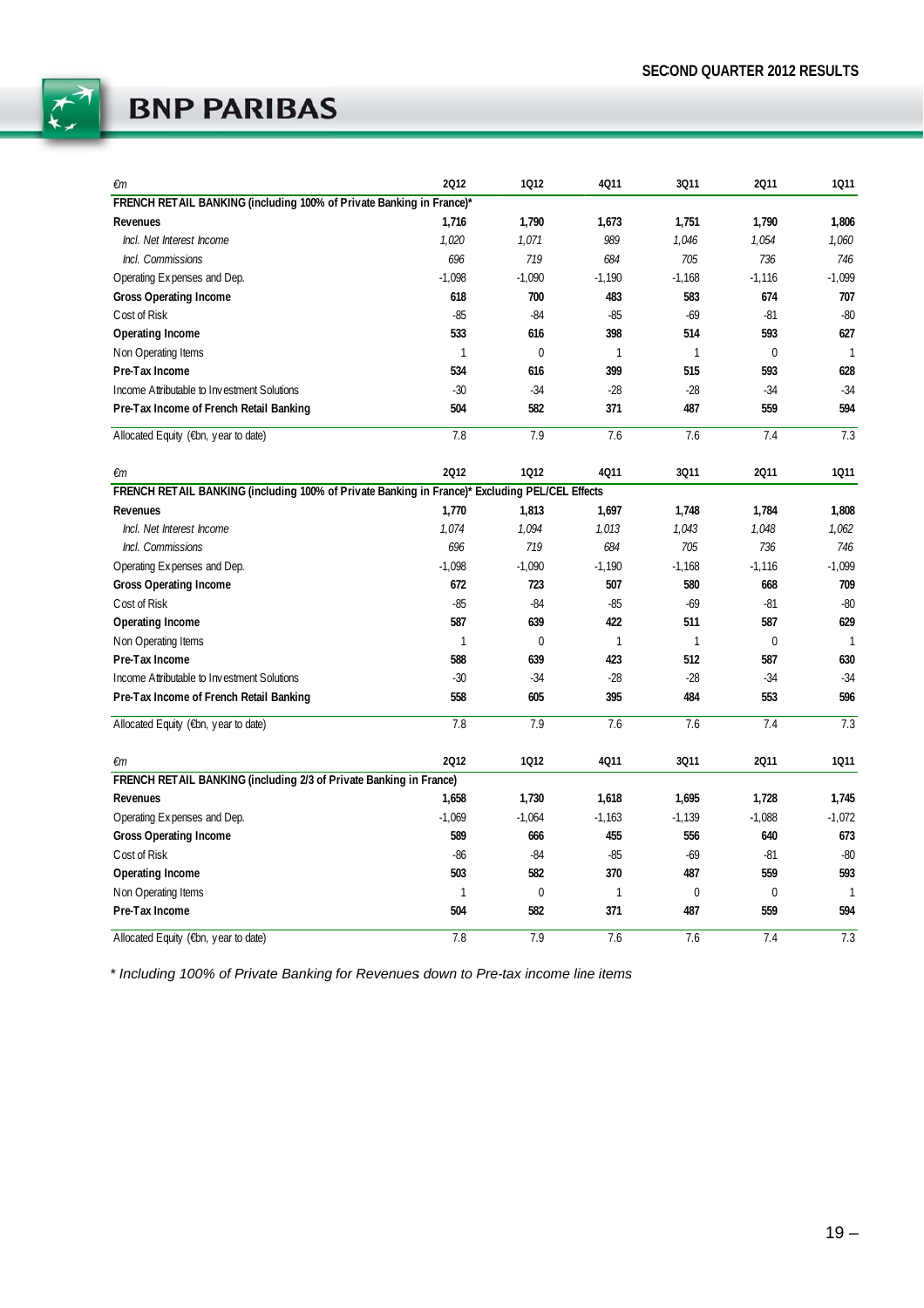

| €m                                                                                             | 2012         | 1012         | 4011         | 3011         | 2011        | 1011           |
|------------------------------------------------------------------------------------------------|--------------|--------------|--------------|--------------|-------------|----------------|
| FRENCH RETAIL BANKING (including 100% of Private Banking in France)*                           |              |              |              |              |             |                |
| Revenues                                                                                       | 1,716        | 1,790        | 1,673        | 1,751        | 1,790       | 1,806          |
| Incl. Net Interest Income                                                                      | 1,020        | 1,071        | 989          | 1,046        | 1,054       | 1,060          |
| Incl. Commissions                                                                              | 696          | 719          | 684          | 705          | 736         | 746            |
| Operating Expenses and Dep.                                                                    | $-1,098$     | $-1,090$     | $-1,190$     | $-1,168$     | $-1,116$    | $-1,099$       |
| <b>Gross Operating Income</b>                                                                  | 618          | 700          | 483          | 583          | 674         | 707            |
| Cost of Risk                                                                                   | $-85$        | $-84$        | $-85$        | $-69$        | $-81$       | $-80$          |
| <b>Operating Income</b>                                                                        | 533          | 616          | 398          | 514          | 593         | 627            |
| Non Operating Items                                                                            | $\mathbf{1}$ | $\mathbf 0$  | $\mathbf{1}$ | $\mathbf{1}$ | $\mathbf 0$ | $\overline{1}$ |
| Pre-Tax Income                                                                                 | 534          | 616          | 399          | 515          | 593         | 628            |
| Income Attributable to Investment Solutions                                                    | $-30$        | $-34$        | $-28$        | $-28$        | $-34$       | $-34$          |
| Pre-Tax Income of French Retail Banking                                                        | 504          | 582          | 371          | 487          | 559         | 594            |
| Allocated Equity (€bn, year to date)                                                           | 7.8          | 7.9          | 7.6          | 7.6          | 7.4         | 7.3            |
| €m                                                                                             | 2012         | 1012         | 4011         | 3011         | 2011        | 1011           |
| FRENCH RETAIL BANKING (including 100% of Private Banking in France)* Excluding PEL/CEL Effects |              |              |              |              |             |                |
| Revenues                                                                                       | 1,770        | 1,813        | 1,697        | 1,748        | 1,784       | 1,808          |
| Incl. Net Interest Income                                                                      | 1,074        | 1,094        | 1,013        | 1,043        | 1,048       | 1,062          |
| Incl. Commissions                                                                              | 696          | 719          | 684          | 705          | 736         | 746            |
| Operating Expenses and Dep.                                                                    | $-1,098$     | $-1,090$     | $-1,190$     | $-1,168$     | $-1,116$    | $-1,099$       |
| <b>Gross Operating Income</b>                                                                  | 672          | 723          | 507          | 580          | 668         | 709            |
| Cost of Risk                                                                                   | $-85$        | $-84$        | $-85$        | $-69$        | $-81$       | $-80$          |
| Operating Income                                                                               | 587          | 639          | 422          | 511          | 587         | 629            |
| Non Operating Items                                                                            | 1            | $\mathbf{0}$ | $\mathbf{1}$ | $\mathbf{1}$ | $\mathbf 0$ | $\mathbf{1}$   |
| Pre-Tax Income                                                                                 | 588          | 639          | 423          | 512          | 587         | 630            |
| Income Attributable to Investment Solutions                                                    | $-30$        | $-34$        | $-28$        | $-28$        | $-34$       | $-34$          |
| Pre-Tax Income of French Retail Banking                                                        | 558          | 605          | 395          | 484          | 553         | 596            |
| Allocated Equity (€bn, year to date)                                                           | 7.8          | 7.9          | 7.6          | 7.6          | 7.4         | 7.3            |
| €m                                                                                             | 2012         | 1012         | 4Q11         | 3011         | 2011        | 1011           |
| FRENCH RETAIL BANKING (including 2/3 of Private Banking in France)                             |              |              |              |              |             |                |
| Revenues                                                                                       | 1,658        | 1,730        | 1,618        | 1,695        | 1,728       | 1,745          |
| Operating Expenses and Dep.                                                                    | $-1,069$     | $-1,064$     | $-1,163$     | $-1,139$     | $-1,088$    | $-1,072$       |
| <b>Gross Operating Income</b>                                                                  | 589          | 666          | 455          | 556          | 640         | 673            |
| Cost of Risk                                                                                   | $-86$        | $-84$        | $-85$        | $-69$        | $-81$       | $-80$          |
| Operating Income                                                                               | 503          | 582          | 370          | 487          | 559         | 593            |
| Non Operating Items                                                                            | 1            | $\mathbf 0$  | $\mathbf{1}$ | $\mathbf 0$  | 0           | $\mathbf{1}$   |
| Pre-Tax Income                                                                                 | 504          | 582          | 371          | 487          | 559         | 594            |
| Allocated Equity (€bn, year to date)                                                           | 7.8          | 7.9          | 7.6          | 7.6          | 7.4         | 7.3            |

*\* Includin ng 100% of Pri ivate Banking for Revenues s down to Pre--tax income lin ne items*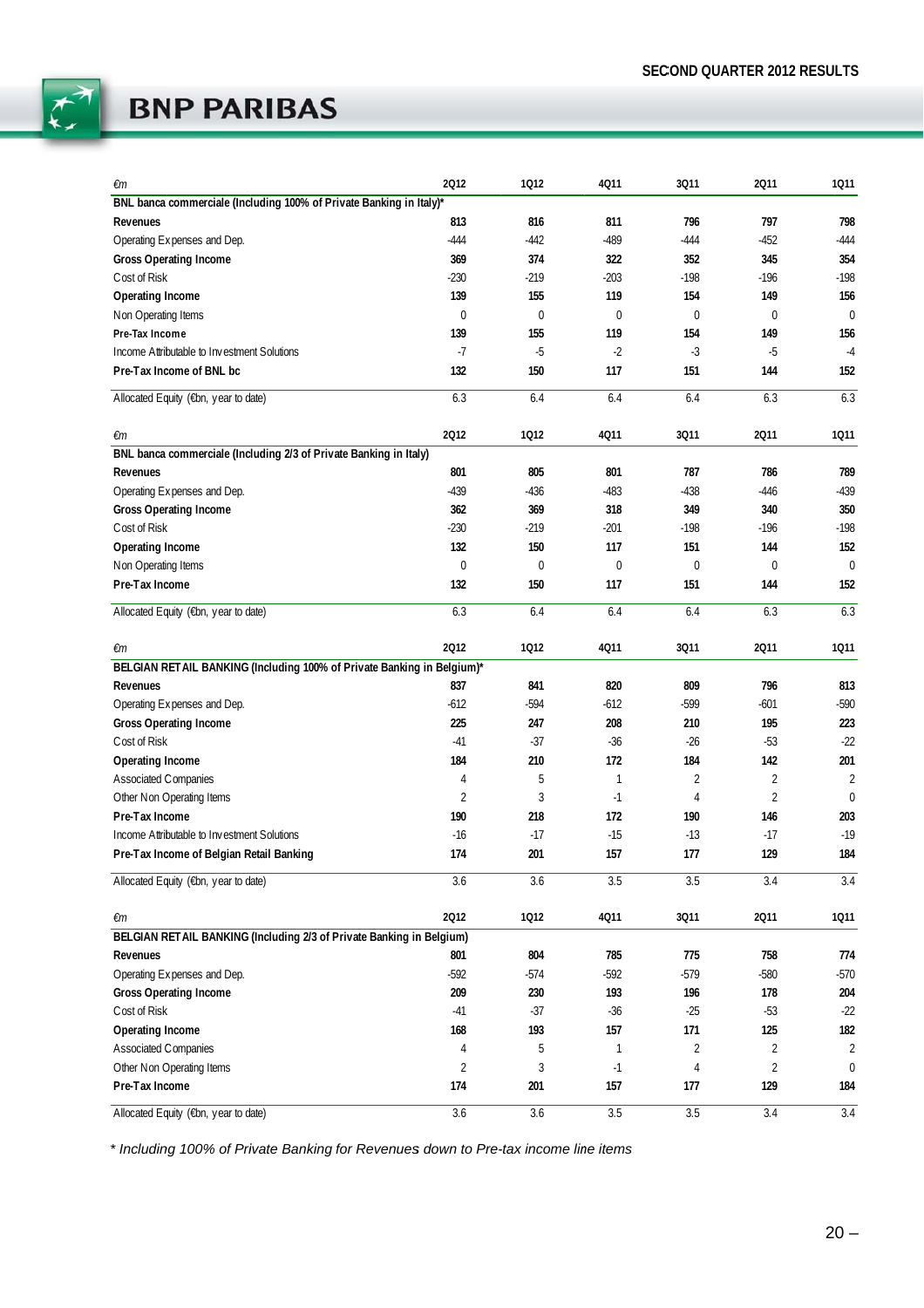

| €m                                                                     | 2012             | 1012             | 4011             | 3011             | 2011           | 1011             |
|------------------------------------------------------------------------|------------------|------------------|------------------|------------------|----------------|------------------|
| BNL banca commerciale (Including 100% of Private Banking in Italy)*    |                  |                  |                  |                  |                |                  |
| Revenues                                                               | 813              | 816              | 811              | 796              | 797            | 798              |
| Operating Expenses and Dep.                                            | $-444$           | $-442$           | $-489$           | $-444$           | $-452$         | $-444$           |
| <b>Gross Operating Income</b>                                          | 369              | 374              | 322              | 352              | 345            | 354              |
| Cost of Risk                                                           | $-230$           | $-219$           | $-203$           | $-198$           | $-196$         | $-198$           |
| Operating Income                                                       | 139              | 155              | 119              | 154              | 149            | 156              |
| Non Operating Items                                                    | $\mathbf 0$      | $\mathbf 0$      | $\boldsymbol{0}$ | $\mathbf 0$      | $\mathbf 0$    | $\overline{0}$   |
| Pre-Tax Income                                                         | 139              | 155              | 119              | 154              | 149            | 156              |
| Income Attributable to Investment Solutions                            | $-7$             | $-5$             | $-2$             | $-3$             | $-5$           | $-4$             |
| Pre-Tax Income of BNL bc                                               | 132              | 150              | 117              | 151              | 144            | 152              |
| Allocated Equity (€bn, year to date)                                   | 6.3              | 6.4              | 6.4              | 6.4              | 6.3            | 6.3              |
| €m                                                                     | 2012             | 1012             | 4Q11             | 3Q11             | 2011           | 1011             |
| BNL banca commerciale (Including 2/3 of Private Banking in Italy)      |                  |                  |                  |                  |                |                  |
| Revenues                                                               | 801              | 805              | 801              | 787              | 786            | 789              |
| Operating Expenses and Dep.                                            | $-439$           | $-436$           | $-483$           | $-438$           | $-446$         | $-439$           |
| <b>Gross Operating Income</b>                                          | 362              | 369              | 318              | 349              | 340            | 350              |
| Cost of Risk                                                           | $-230$           | $-219$           | $-201$           | $-198$           | $-196$         | $-198$           |
| Operating Income                                                       | 132              | 150              | 117              | 151              | 144            | 152              |
| Non Operating Items                                                    | $\boldsymbol{0}$ | $\boldsymbol{0}$ | 0                | 0                | 0              | $\mathbf 0$      |
| Pre-Tax Income                                                         | 132              | 150              | 117              | 151              | 144            | 152              |
| Allocated Equity (€bn, year to date)                                   | 6.3              | 6.4              | 6.4              | 6.4              | 6.3            | 6.3              |
| €m                                                                     | 2012             | 1012             | 4011             | 3011             | 2011           | 1011             |
| BELGIAN RETAIL BANKING (Including 100% of Private Banking in Belgium)* |                  |                  |                  |                  |                |                  |
| Revenues                                                               | 837              | 841              | 820              | 809              | 796            | 813              |
| Operating Expenses and Dep.                                            | $-612$           | $-594$           | $-612$           | -599             | $-601$         | $-590$           |
| <b>Gross Operating Income</b>                                          | 225              | 247              | 208              | 210              | 195            | 223              |
| Cost of Risk                                                           | $-41$            | $-37$            | $-36$            | $-26$            | $-53$          | $-22$            |
| Operating Income                                                       | 184              | 210              | 172              | 184              | 142            | 201              |
| <b>Associated Companies</b>                                            | 4                | 5                | $\mathbf{1}$     | $\overline{2}$   | $\overline{2}$ | $\overline{2}$   |
| Other Non Operating Items                                              | $\overline{2}$   | 3                | $-1$             | 4                | $\overline{2}$ | $\mathbf{0}$     |
| Pre-Tax Income                                                         | 190              | 218              | 172              | 190              | 146            | 203              |
| Income Attributable to Investment Solutions                            | $-16$            | $-17$            | $-15$            | $-13$            | $-17$          | $-19$            |
| Pre-Tax Income of Belgian Retail Banking                               | 174              | 201              | 157              | 177              | 129            | 184              |
| Allocated Equity (€bn, year to date)                                   | 3.6              | 3.6              | 3.5              | 3.5              | 3.4            | $\overline{3.4}$ |
| €m                                                                     | 2012             | 1012             | 4011             | 3011             | 2011           | 1011             |
| BELGIAN RETAIL BANKING (Including 2/3 of Private Banking in Belgium)   |                  |                  |                  |                  |                |                  |
| Revenues                                                               | 801              | 804              | 785              | 775              | 758            | 774              |
| Operating Expenses and Dep.                                            | $-592$           | $-574$           | $-592$           | $-579$           | $-580$         | $-570$           |
| Gross Operating Income                                                 | 209              | 230              | 193              | 196              | 178            | 204              |
| Cost of Risk                                                           | $-41$            | $-37$            | $-36$            | $-25$            | $-53$          | $-22$            |
| Operating Income                                                       | 168              | 193              | 157              | 171              | 125            | 182              |
| <b>Associated Companies</b>                                            | 4                | 5                | $\mathbf{1}$     | $\overline{c}$   | 2              | $\overline{2}$   |
| Other Non Operating Items                                              | $\sqrt{2}$       | $\sqrt{3}$       | $-1$             | $\overline{4}$   | $\overline{2}$ | $\mathbf{0}$     |
| Pre-Tax Income                                                         | 174              | 201              | 157              | 177              | 129            | 184              |
| Allocated Equity (€bn, year to date)                                   | 3.6              | 3.6              | 3.5              | $\overline{3.5}$ | 3.4            | 3.4              |

*\* Includin ng 100% of Pri ivate Banking for Revenues s down to Pre--tax income lin ne items*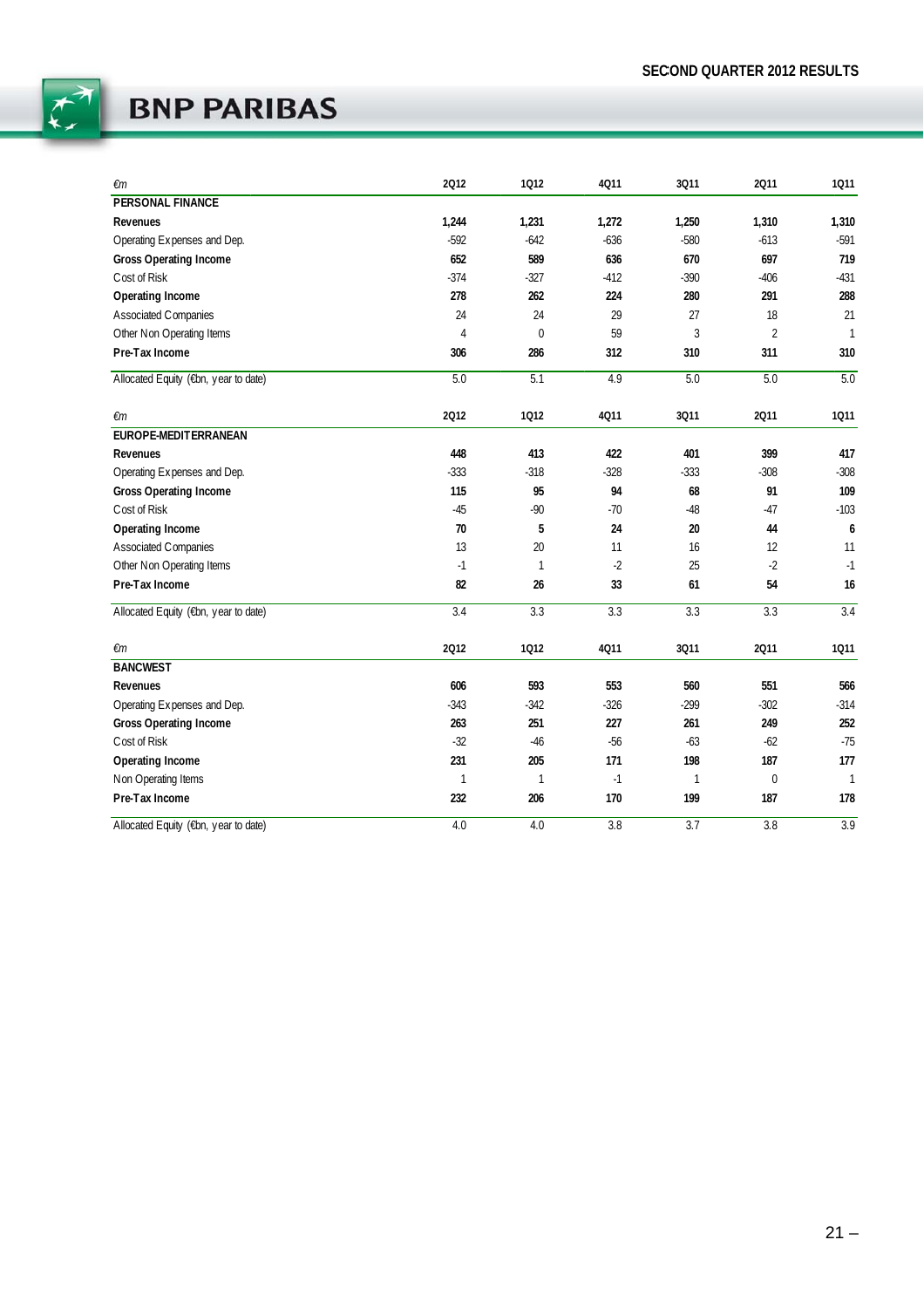

| €m                                   | 2012           | 1012           | 4011   | 3011         | 2011             | 1011         |
|--------------------------------------|----------------|----------------|--------|--------------|------------------|--------------|
| <b>PERSONAL FINANCE</b>              |                |                |        |              |                  |              |
| Revenues                             | 1,244          | 1,231          | 1,272  | 1,250        | 1,310            | 1,310        |
| Operating Expenses and Dep.          | $-592$         | $-642$         | $-636$ | $-580$       | $-613$           | $-591$       |
| <b>Gross Operating Income</b>        | 652            | 589            | 636    | 670          | 697              | 719          |
| Cost of Risk                         | $-374$         | $-327$         | $-412$ | $-390$       | $-406$           | $-431$       |
| Operating Income                     | 278            | 262            | 224    | 280          | 291              | 288          |
| Associated Companies                 | 24             | 24             | 29     | 27           | 18               | 21           |
| Other Non Operating Items            | $\overline{4}$ | $\overline{0}$ | 59     | 3            | $\overline{2}$   | $\mathbf{1}$ |
| Pre-Tax Income                       | 306            | 286            | 312    | 310          | 311              | 310          |
| Allocated Equity (€bn, year to date) | 5.0            | 5.1            | 4.9    | 5.0          | 5.0              | 5.0          |
| €m                                   | 2012           | 1012           | 4Q11   | 3011         | 2011             | 1011         |
| EUROPE-MEDITERRANEAN                 |                |                |        |              |                  |              |
| Revenues                             | 448            | 413            | 422    | 401          | 399              | 417          |
| Operating Expenses and Dep.          | $-333$         | $-318$         | $-328$ | $-333$       | $-308$           | $-308$       |
| <b>Gross Operating Income</b>        | 115            | 95             | 94     | 68           | 91               | 109          |
| Cost of Risk                         | $-45$          | $-90$          | $-70$  | $-48$        | $-47$            | $-103$       |
| Operating Income                     | 70             | 5              | 24     | 20           | 44               | 6            |
| Associated Companies                 | 13             | 20             | 11     | 16           | 12               | 11           |
| Other Non Operating Items            | $-1$           | $\mathbf{1}$   | $-2$   | 25           | $-2$             | $-1$         |
| Pre-Tax Income                       | 82             | 26             | 33     | 61           | 54               | 16           |
| Allocated Equity (€bn, year to date) | 3.4            | 3.3            | 3.3    | 3.3          | $\overline{3.3}$ | 3.4          |
| €m                                   | 2012           | 1012           | 4Q11   | 3011         | 2011             | 1011         |
| <b>BANCWEST</b>                      |                |                |        |              |                  |              |
| Revenues                             | 606            | 593            | 553    | 560          | 551              | 566          |
| Operating Expenses and Dep.          | $-343$         | $-342$         | $-326$ | $-299$       | $-302$           | $-314$       |
| <b>Gross Operating Income</b>        | 263            | 251            | 227    | 261          | 249              | 252          |
| Cost of Risk                         | $-32$          | $-46$          | $-56$  | $-63$        | $-62$            | $-75$        |
| Operating Income                     | 231            | 205            | 171    | 198          | 187              | 177          |
| Non Operating Items                  | 1              | 1              | $-1$   | $\mathbf{1}$ | $\bf{0}$         | $\mathbf{1}$ |
| Pre-Tax Income                       | 232            | 206            | 170    | 199          | 187              | 178          |
| Allocated Equity (€bn, year to date) | 4.0            | 4.0            | 3.8    | 3.7          | 3.8              | 3.9          |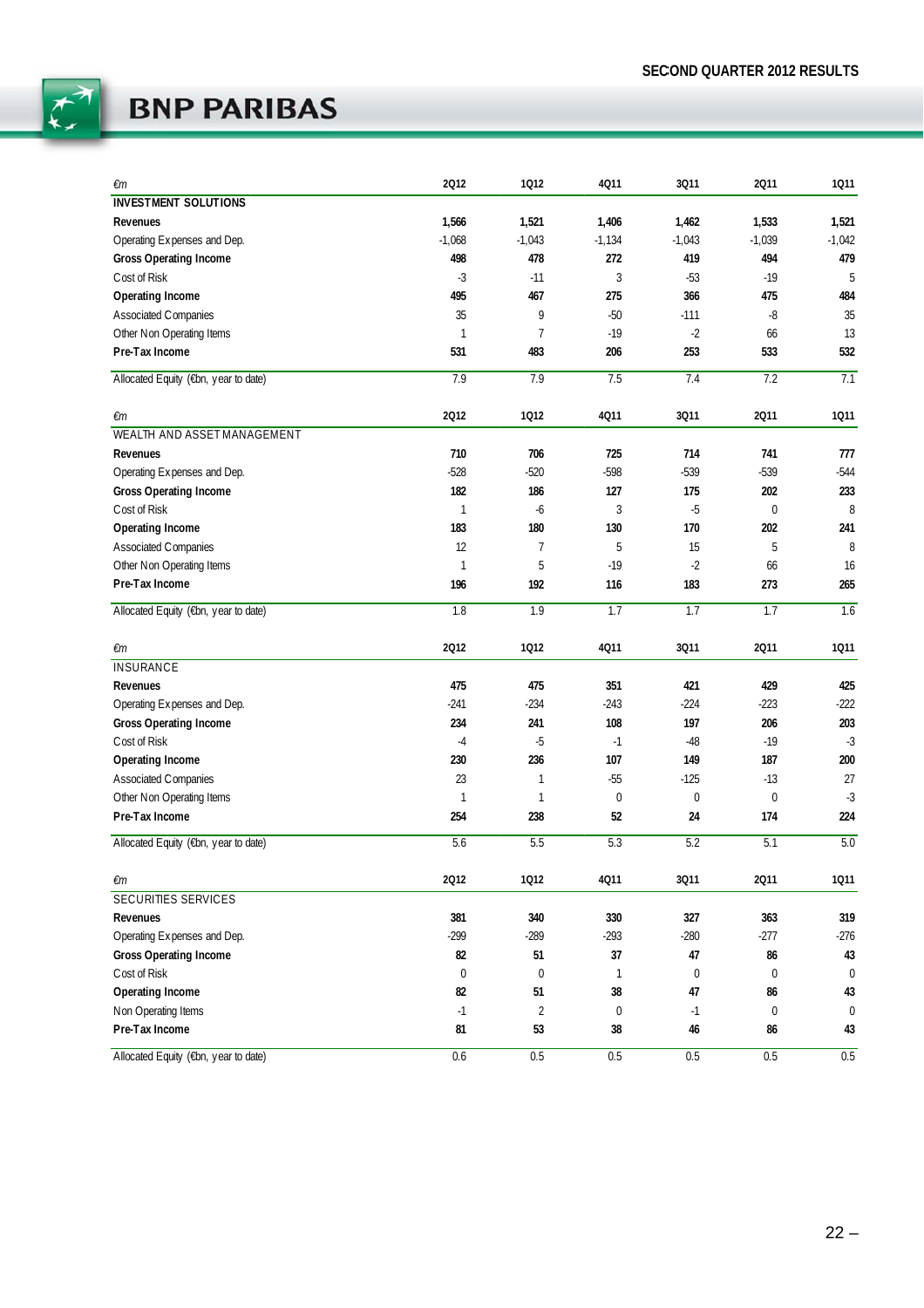

| €m                                   | 2012      | 1012        | 4011         | 3011        | 2011             | 1011             |
|--------------------------------------|-----------|-------------|--------------|-------------|------------------|------------------|
| <b>INVESTMENT SOLUTIONS</b>          |           |             |              |             |                  |                  |
| Revenues                             | 1,566     | 1,521       | 1,406        | 1,462       | 1,533            | 1,521            |
| Operating Expenses and Dep.          | $-1,068$  | $-1,043$    | $-1,134$     | $-1,043$    | $-1,039$         | $-1,042$         |
| <b>Gross Operating Income</b>        | 498       | 478         | 272          | 419         | 494              | 479              |
| Cost of Risk                         | $-3$      | $-11$       | 3            | $-53$       | $-19$            | 5                |
| Operating Income                     | 495       | 467         | 275          | 366         | 475              | 484              |
| Associated Companies                 | 35        | 9           | $-50$        | $-111$      | -8               | 35               |
| Other Non Operating Items            | 1         | 7           | $-19$        | $-2$        | 66               | 13               |
| Pre-Tax Income                       | 531       | 483         | 206          | 253         | 533              | 532              |
| Allocated Equity (€bn, year to date) | 7.9       | 7.9         | 7.5          | 7.4         | 7.2              | 7.1              |
| €m                                   | 2012      | 1012        | 4011         | 3011        | 2011             | 1011             |
| WEALTH AND ASSET MANAGEMENT          |           |             |              |             |                  |                  |
| Revenues                             | 710       | 706         | 725          | 714         | 741              | 777              |
| Operating Expenses and Dep.          | $-528$    | $-520$      | $-598$       | $-539$      | $-539$           | $-544$           |
| <b>Gross Operating Income</b>        | 182       | 186         | 127          | 175         | 202              | 233              |
| Cost of Risk                         | 1         | -6          | 3            | $-5$        | 0                | 8                |
| Operating Income                     | 183       | 180         | 130          | 170         | 202              | 241              |
| Associated Companies                 | 12        | 7           | 5            | 15          | 5                | 8                |
| Other Non Operating Items            | 1         | 5           | $-19$        | $-2$        | 66               | 16               |
| Pre-Tax Income                       | 196       | 192         | 116          | 183         | 273              | 265              |
| Allocated Equity (€bn, year to date) | 1.8       | 1.9         | 1.7          | 1.7         | 1.7              | 1.6              |
| €m                                   | 2012      | 1012        | 4011         | 3011        | 2011             | 1011             |
| <b>INSURANCE</b>                     |           |             |              |             |                  |                  |
| Revenues                             | 475       | 475         | 351          | 421         | 429              | 425              |
| Operating Expenses and Dep.          | $-241$    | $-234$      | $-243$       | $-224$      | $-223$           | $-222$           |
| <b>Gross Operating Income</b>        | 234       | 241         | 108          | 197         | 206              | 203              |
| Cost of Risk                         | -4        | $-5$        | $-1$         | $-48$       | $-19$            | $-3$             |
| Operating Income                     | 230       | 236         | 107          | 149         | 187              | 200              |
| Associated Companies                 | 23        | 1           | $-55$        | $-125$      | $-13$            | 27               |
| Other Non Operating Items            | 1         | 1           | $\mathbf 0$  | $\pmb{0}$   | 0                | $-3$             |
| Pre-Tax Income                       | 254       | 238         | 52           | 24          | 174              | 224              |
| Allocated Equity (€bn, year to date) | 5.6       | 5.5         | 5.3          | 5.2         | 5.1              | 5.0              |
| €m                                   | 2012      | 1012        | 4011         | 3011        | 2011             | 1011             |
| SECURITIES SERVICES                  |           |             |              |             |                  |                  |
| Revenues                             | 381       | 340         | 330          | 327         | 363              | 319              |
| Operating Expenses and Dep.          | $-299$    | $-289$      | $-293$       | $-280$      | $-277$           | $-276$           |
| Gross Operating Income               | 82        | 51          | 37           | 47          | 86               | 43               |
| Cost of Risk                         | $\pmb{0}$ | $\mathbf 0$ | $\mathbf{1}$ | $\mathbf 0$ | $\boldsymbol{0}$ | $\boldsymbol{0}$ |
| Operating Income                     | 82        | 51          | 38           | 47          | 86               | 43               |
| Non Operating Items                  | $-1$      | 2           | $\mathbf 0$  | $-1$        | 0                | $\boldsymbol{0}$ |
| Pre-Tax Income                       | 81        | 53          | 38           | 46          | 86               | 43               |
| Allocated Equity (€bn, year to date) | 0.6       | 0.5         | 0.5          | 0.5         | 0.5              | 0.5              |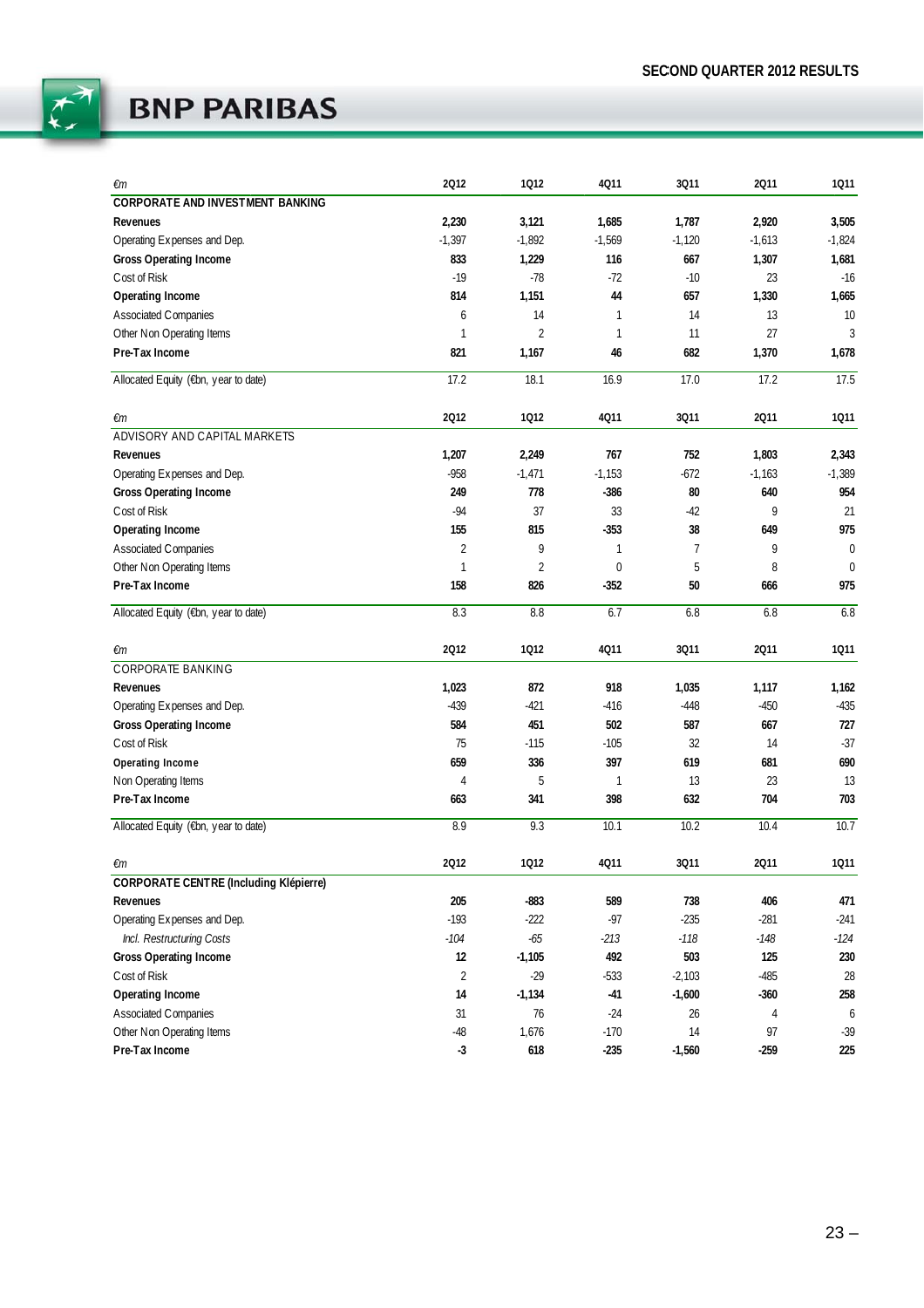

| €m                                            | 2012           | 1012           | 4011         | 3011           | 2011     | 1011         |
|-----------------------------------------------|----------------|----------------|--------------|----------------|----------|--------------|
| <b>CORPORATE AND INVESTMENT BANKING</b>       |                |                |              |                |          |              |
| Revenues                                      | 2,230          | 3,121          | 1,685        | 1,787          | 2,920    | 3,505        |
| Operating Expenses and Dep.                   | $-1,397$       | $-1,892$       | $-1,569$     | $-1,120$       | $-1,613$ | $-1,824$     |
| <b>Gross Operating Income</b>                 | 833            | 1,229          | 116          | 667            | 1,307    | 1,681        |
| Cost of Risk                                  | $-19$          | $-78$          | $-72$        | $-10$          | 23       | $-16$        |
| Operating Income                              | 814            | 1,151          | 44           | 657            | 1,330    | 1,665        |
| <b>Associated Companies</b>                   | 6              | 14             | $\mathbf{1}$ | 14             | 13       | 10           |
| Other Non Operating Items                     | $\mathbf{1}$   | $\overline{2}$ | $\mathbf{1}$ | 11             | 27       | 3            |
| Pre-Tax Income                                | 821            | 1,167          | 46           | 682            | 1,370    | 1,678        |
| Allocated Equity (€bn, year to date)          | 17.2           | 18.1           | 16.9         | 17.0           | 17.2     | 17.5         |
| €m                                            | 2012           | 1012           | 4011         | 3011           | 2011     | 1011         |
| ADVISORY AND CAPITAL MARKETS                  |                |                |              |                |          |              |
| Revenues                                      | 1,207          | 2,249          | 767          | 752            | 1,803    | 2,343        |
| Operating Expenses and Dep.                   | $-958$         | $-1,471$       | $-1,153$     | $-672$         | $-1,163$ | $-1,389$     |
| <b>Gross Operating Income</b>                 | 249            | 778            | $-386$       | 80             | 640      | 954          |
| Cost of Risk                                  | $-94$          | 37             | 33           | $-42$          | 9        | 21           |
| Operating Income                              | 155            | 815            | $-353$       | 38             | 649      | 975          |
| Associated Companies                          | $\overline{2}$ | 9              | $\mathbf{1}$ | $\overline{7}$ | 9        | $\mathbf 0$  |
| Other Non Operating Items                     | $\mathbf{1}$   | $\overline{2}$ | $\mathbf 0$  | 5              | 8        | $\mathbf{0}$ |
| Pre-Tax Income                                | 158            | 826            | $-352$       | 50             | 666      | 975          |
| Allocated Equity (€bn, year to date)          | 8.3            | 8.8            | 6.7          | 6.8            | 6.8      | 6.8          |
| €m                                            | 2012           | 1012           | 4011         | 3011           | 2011     | 1011         |
| CORPORATE BANKING                             |                |                |              |                |          |              |
| Revenues                                      | 1,023          | 872            | 918          | 1,035          | 1,117    | 1,162        |
| Operating Expenses and Dep.                   | $-439$         | $-421$         | $-416$       | $-448$         | $-450$   | $-435$       |
| <b>Gross Operating Income</b>                 | 584            | 451            | 502          | 587            | 667      | 727          |
| Cost of Risk                                  | 75             | $-115$         | $-105$       | 32             | 14       | $-37$        |
| Operating Income                              | 659            | 336            | 397          | 619            | 681      | 690          |
| Non Operating Items                           | $\overline{4}$ | 5              | $\mathbf{1}$ | 13             | 23       | 13           |
| Pre-Tax Income                                | 663            | 341            | 398          | 632            | 704      | 703          |
| Allocated Equity (€bn, year to date)          | 8.9            | 9.3            | 10.1         | 10.2           | 10.4     | 10.7         |
| €m                                            | 2012           | 1012           | 4011         | 3011           | 2011     | 1011         |
| <b>CORPORATE CENTRE (Including Klépierre)</b> |                |                |              |                |          |              |
| Revenues                                      | 205            | $-883$         | 589          | 738            | 406      | 471          |
| Operating Expenses and Dep.                   | $-193$         | $-222$         | $-97$        | $-235$         | $-281$   | $-241$       |
| Incl. Restructuring Costs                     | $-104$         | $-65$          | $-213$       | $-118$         | $-148$   | $-124$       |
| Gross Operating Income                        | 12             | $-1,105$       | 492          | 503            | 125      | 230          |
| Cost of Risk                                  | $\overline{2}$ | $-29$          | $-533$       | $-2,103$       | $-485$   | 28           |
| Operating Income                              | 14             | $-1,134$       | $-41$        | $-1,600$       | $-360$   | 258          |
| Associated Companies                          | 31             | 76             | $-24$        | 26             | 4        | 6            |
| Other Non Operating Items                     | $-48$          | 1,676          | $-170$       | 14             | 97       | $-39$        |
| Pre-Tax Income                                | $-3$           | 618            | $-235$       | $-1,560$       | $-259$   | 225          |